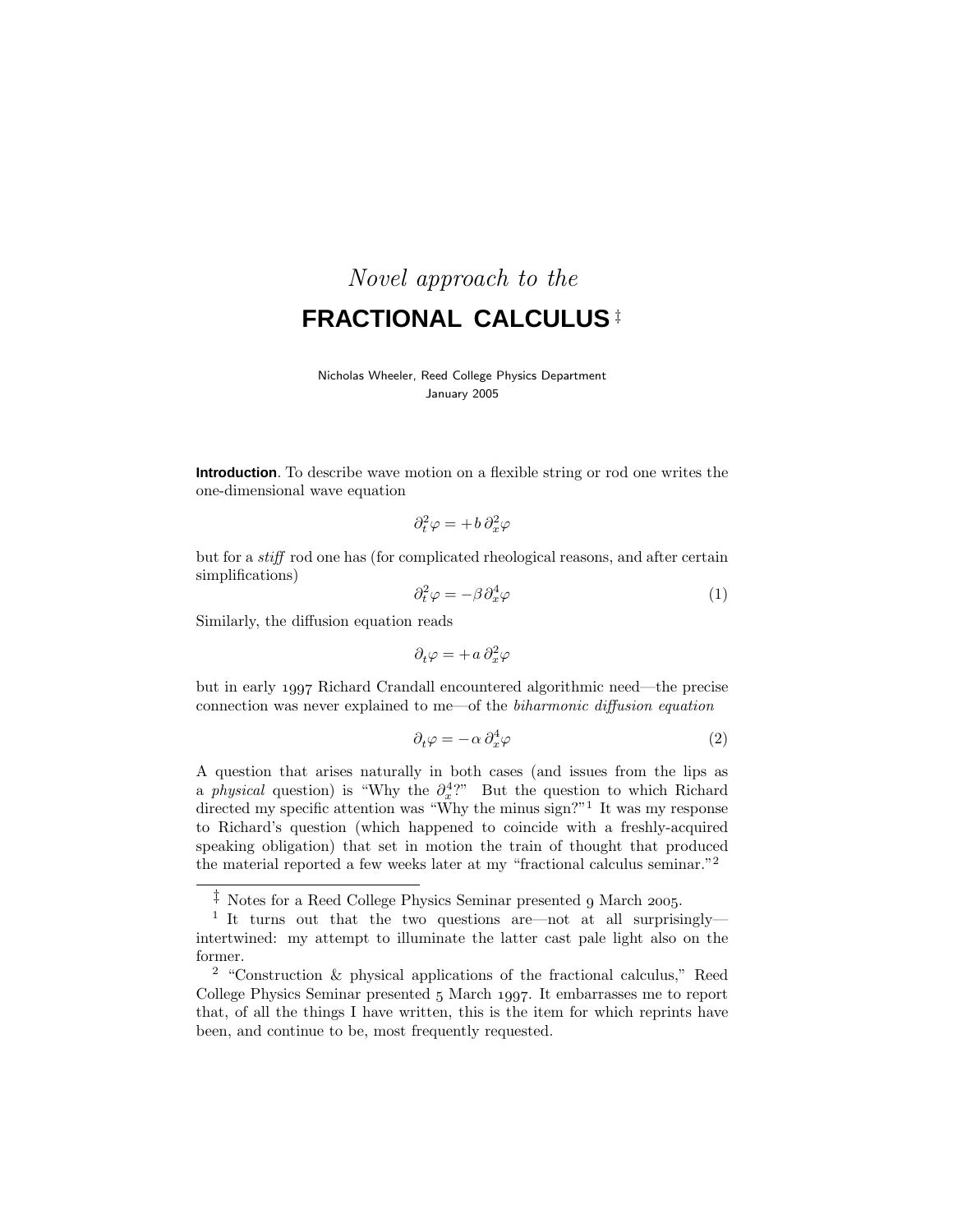# Novel approach to the **FRACTIONAL CALCULUS** ‡

### Nicholas Wheeler, Reed College Physics Department January 2005

**Introduction**. To describe wave motion on a flexible string or rod one writes the one-dimensional wave equation

$$
\partial_t^2 \varphi = + b \, \partial_x^2 \varphi
$$

but for a stiff rod one has (for complicated rheological reasons, and after certain simplifications)

$$
\partial_t^2 \varphi = -\beta \partial_x^4 \varphi \tag{1}
$$

Similarly, the diffusion equation reads

$$
\partial_t \varphi = + a \, \partial_x^2 \varphi
$$

but in early 1997 Richard Crandall encountered algorithmic need—the precise connection was never explained to me—of the biharmonic diffusion equation

$$
\partial_t \varphi = -\alpha \partial_x^4 \varphi \tag{2}
$$

A question that arises naturally in both cases (and issues from the lips as a *physical* question) is "Why the  $\partial_x^4$ ?" But the question to which Richard directed my specific attention was "Why the minus sign?"<sup>1</sup> It was my response to Richard's question (which happened to coincide with a freshly-acquired speaking obligation) that set in motion the train of thought that produced the material reported a few weeks later at my "fractional calculus seminar."<sup>2</sup>

 $\ddagger$  Notes for a Reed College Physics Seminar presented 9 March 2005.

<sup>&</sup>lt;sup>1</sup> It turns out that the two questions are—not at all surprisingly intertwined: my attempt to illuminate the latter cast pale light also on the former.

<sup>2</sup> "Construction & physical applications of the fractional calculus," Reed College Physics Seminar presented 5 March 1997. It embarrasses me to report that, of all the things I have written, this is the item for which reprints have been, and continue to be, most frequently requested.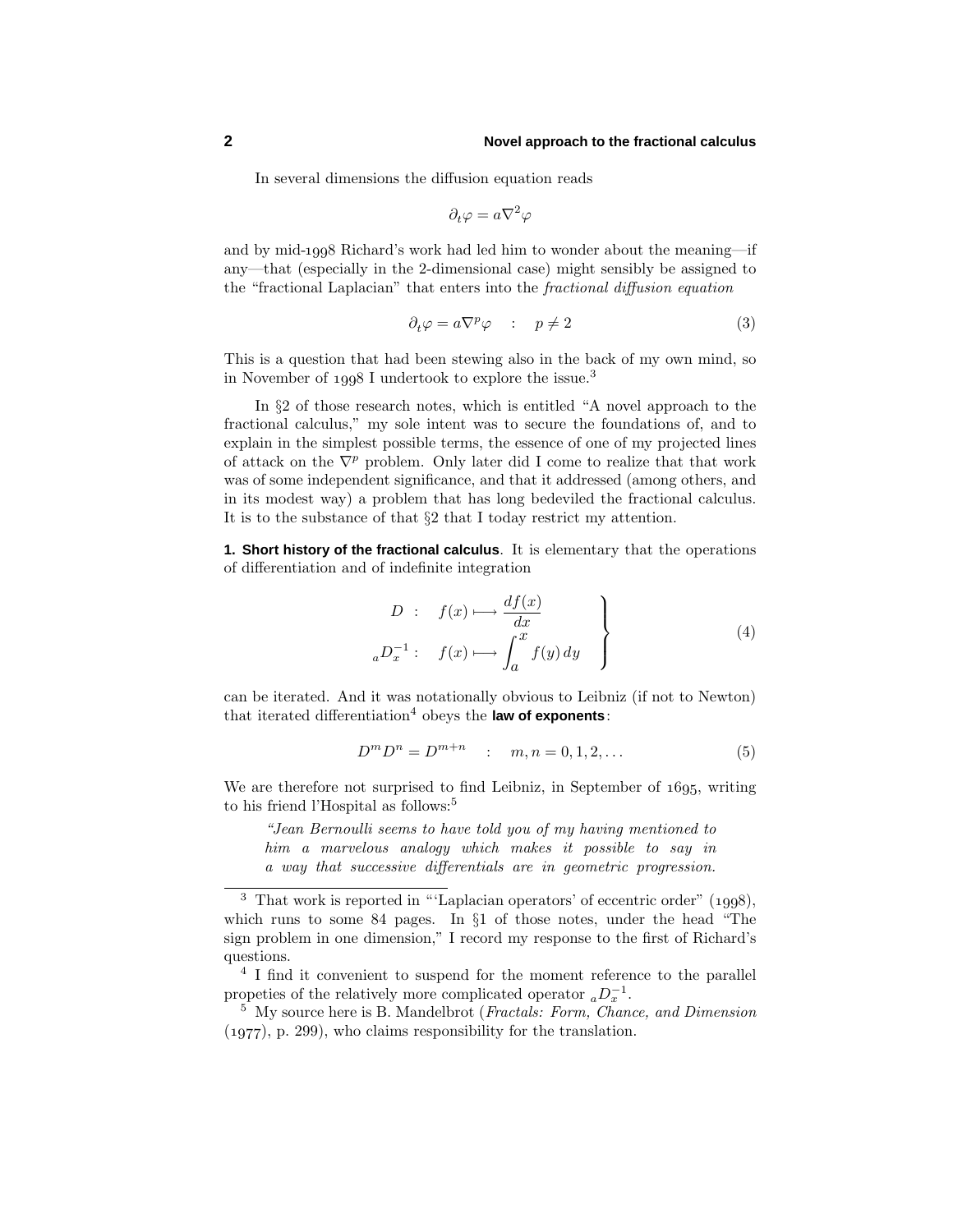In several dimensions the diffusion equation reads

$$
\partial_t \varphi = a \nabla^2 \varphi
$$

and by mid-1998 Richard's work had led him to wonder about the meaning—if any—that (especially in the 2-dimensional case) might sensibly be assigned to the "fractional Laplacian" that enters into the fractional diffusion equation

$$
\partial_t \varphi = a \nabla^p \varphi \quad : \quad p \neq 2 \tag{3}
$$

This is a question that had been stewing also in the back of my own mind, so in November of  $1998$  I undertook to explore the issue.<sup>3</sup>

In §2 of those research notes, which is entitled "A novel approach to the fractional calculus," my sole intent was to secure the foundations of, and to explain in the simplest possible terms, the essence of one of my projected lines of attack on the  $\nabla^p$  problem. Only later did I come to realize that that work was of some independent significance, and that it addressed (among others, and in its modest way) a problem that has long bedeviled the fractional calculus. It is to the substance of that §2 that I today restrict my attention.

**1. Short history of the fractional calculus**. It is elementary that the operations of differentiation and of indefinite integration

$$
D: f(x) \longmapsto \frac{df(x)}{dx}
$$
  

$$
{}_aD_x^{-1}: f(x) \longmapsto \int_a^x f(y) dy
$$
 (4)

can be iterated. And it was notationally obvious to Leibniz (if not to Newton) that iterated differentiation<sup>4</sup> obeys the **law of exponents**:

$$
D^m D^n = D^{m+n} \quad : \quad m, n = 0, 1, 2, \dots \tag{5}
$$

We are therefore not surprised to find Leibniz, in September of 1695, writing to his friend l'Hospital as follows:<sup>5</sup>

"Jean Bernoulli seems to have told you of my having mentioned to him a marvelous analogy which makes it possible to say in a way that successive differentials are in geometric progression.

 $3$  That work is reported in "'Laplacian operators' of eccentric order" (1998). which runs to some 84 pages. In §1 of those notes, under the head "The sign problem in one dimension," I record my response to the first of Richard's questions.

<sup>&</sup>lt;sup>4</sup> I find it convenient to suspend for the moment reference to the parallel propeties of the relatively more complicated operator  ${_aD_x^{-1}}$ .

<sup>&</sup>lt;sup>5</sup> My source here is B. Mandelbrot (*Fractals: Form, Chance, and Dimension*  $(1977)$ , p. 299), who claims responsibility for the translation.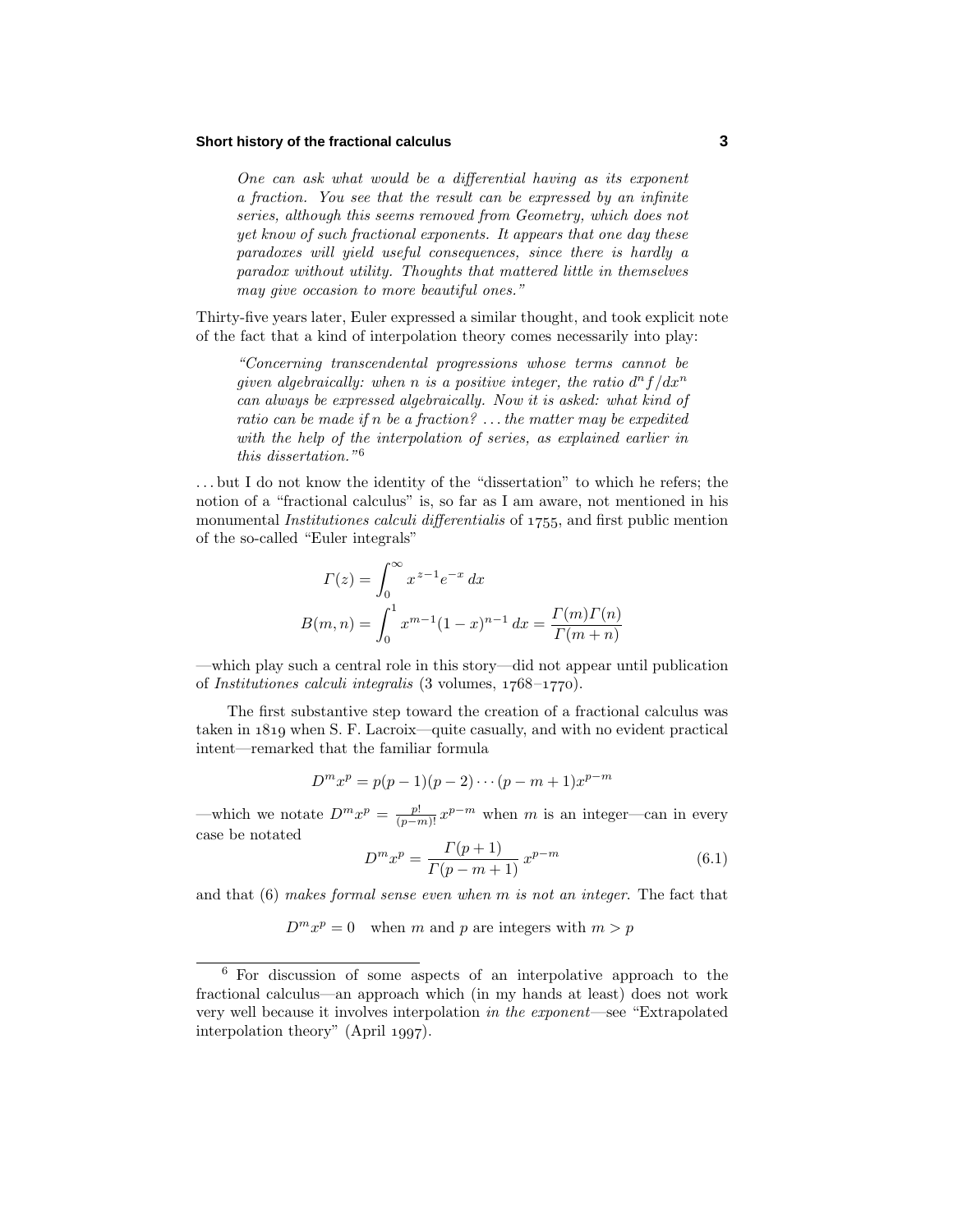#### **Short history of the fractional calculus 3**

One can ask what would be a differential having as its exponent a fraction. You see that the result can be expressed by an infinite series, although this seems removed from Geometry, which does not yet know of such fractional exponents. It appears that one day these  $paradores$  will yield useful consequences, since there is hardly a paradox without utility. Thoughts that mattered little in themselves may give occasion to more beautiful ones."

Thirty-five years later, Euler expressed a similar thought, and took explicit note of the fact that a kind of interpolation theory comes necessarily into play:

"Concerning transcendental progressions whose terms cannot be given algebraically: when *n* is a positive integer, the ratio  $d^n f/dx^n$ can always be expressed algebraically. Now it is asked: what kind of ratio can be made if *n* be a fraction? *...*the matter may be expedited with the help of the interpolation of series, as explained earlier in this dissertation."<sup>6</sup>

*...* but I do not know the identity of the "dissertation" to which he refers; the notion of a "fractional calculus" is, so far as I am aware, not mentioned in his monumental *Institutiones calculi differentialis* of 1755, and first public mention of the so-called "Euler integrals"

$$
\Gamma(z) = \int_0^\infty x^{z-1} e^{-x} dx
$$
  
\n
$$
B(m, n) = \int_0^1 x^{m-1} (1-x)^{n-1} dx = \frac{\Gamma(m)\Gamma(n)}{\Gamma(m+n)}
$$

—which play such a central role in this story—did not appear until publication of Institutiones calculi integralis  $(3 \text{ volumes}, 1768-1770).$ 

The first substantive step toward the creation of a fractional calculus was taken in  $1819$  when S. F. Lacroix—quite casually, and with no evident practical intent—remarked that the familiar formula

$$
D^{m}x^{p} = p(p-1)(p-2)\cdots(p-m+1)x^{p-m}
$$

—which we notate  $D^m x^p = \frac{p!}{(p-m)!} x^{p-m}$  when *m* is an integer—can in every case be notated

$$
D^{m}x^{p} = \frac{\Gamma(p+1)}{\Gamma(p-m+1)} x^{p-m}
$$
\n(6.1)

and that (6) makes formal sense even when *m* is not an integer. The fact that

 $D^m x^p = 0$  when *m* and *p* are integers with  $m > p$ 

<sup>6</sup> For discussion of some aspects of an interpolative approach to the fractional calculus—an approach which (in my hands at least) does not work very well because it involves interpolation in the exponent—see "Extrapolated interpolation theory" (April  $1997$ ).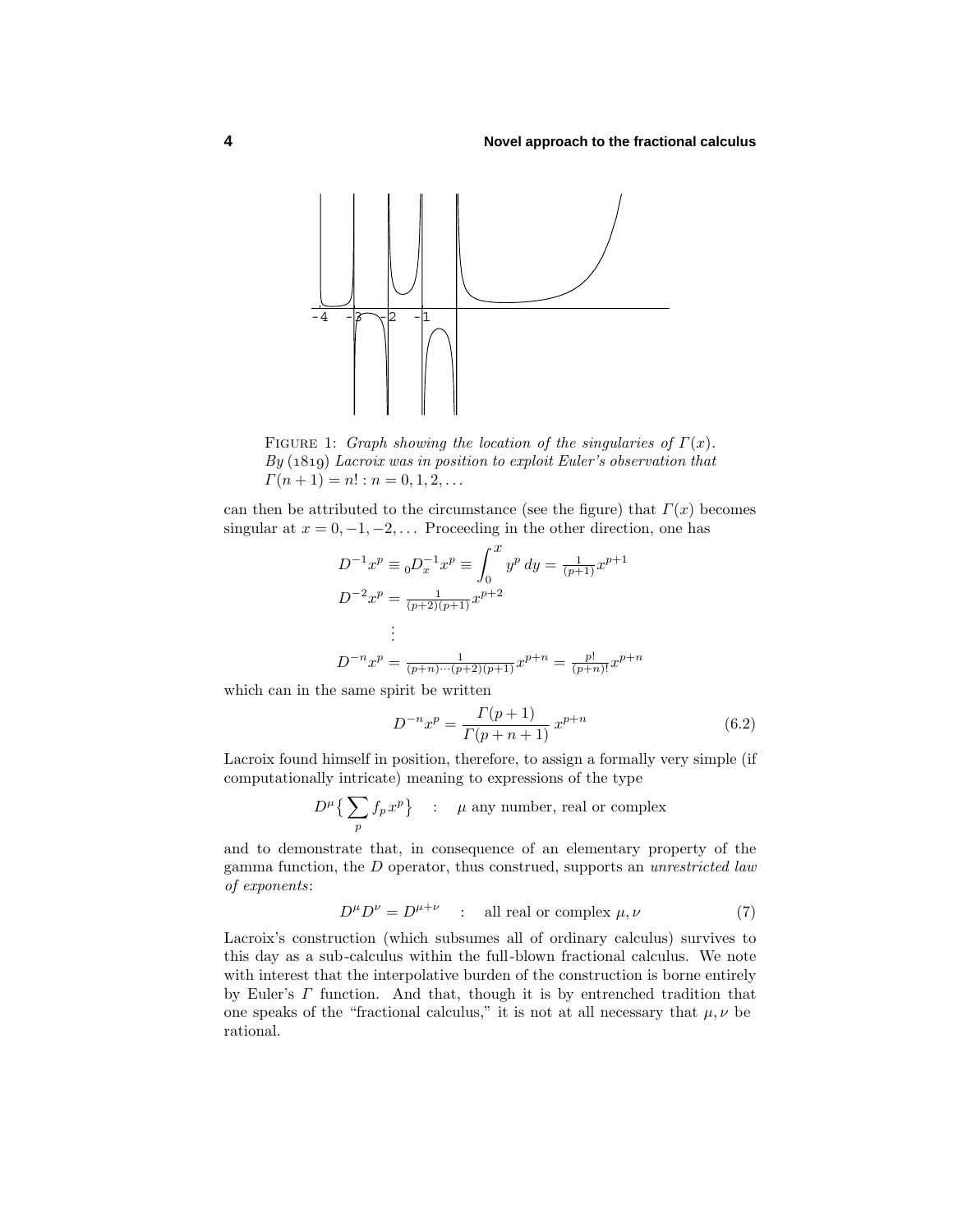

Figure 1: Graph showing the location of the singularies of *Γ*(*x*).  $By (1819) Lacroix was in position to exploit Euler's observation that$  $\Gamma(n+1) = n! : n = 0, 1, 2, \ldots$ 

can then be attributed to the circumstance (see the figure) that  $\Gamma(x)$  becomes singular at  $x = 0, -1, -2, \ldots$  Proceeding in the other direction, one has

$$
D^{-1}x^p \equiv {}_0D_x^{-1}x^p \equiv \int_0^x y^p \, dy = \frac{1}{(p+1)}x^{p+1}
$$

$$
D^{-2}x^p = \frac{1}{(p+2)(p+1)}x^{p+2}
$$

$$
\vdots
$$

$$
D^{-n}x^p = \frac{1}{(p+n)\cdots(p+2)(p+1)}x^{p+n} = \frac{p!}{(p+n)!}x^{p+n}
$$

which can in the same spirit be written

$$
D^{-n}x^p = \frac{\Gamma(p+1)}{\Gamma(p+n+1)} x^{p+n}
$$
(6.2)

Lacroix found himself in position, therefore, to assign a formally very simple (if computationally intricate) meaning to expressions of the type

$$
D^{\mu} \left\{ \sum_{p} f_{p} x^{p} \right\} \quad : \quad \mu \text{ any number, real or complex}
$$

and to demonstrate that, in consequence of an elementary property of the gamma function, the *D* operator, thus construed, supports an unrestricted law of exponents:

$$
D^{\mu}D^{\nu} = D^{\mu+\nu} \quad : \quad \text{all real or complex } \mu, \nu \tag{7}
$$

Lacroix's construction (which subsumes all of ordinary calculus) survives to this day as a sub-calculus within the full-blown fractional calculus. We note with interest that the interpolative burden of the construction is borne entirely by Euler's *Γ* function. And that, though it is by entrenched tradition that one speaks of the "fractional calculus," it is not at all necessary that  $\mu, \nu$  be rational.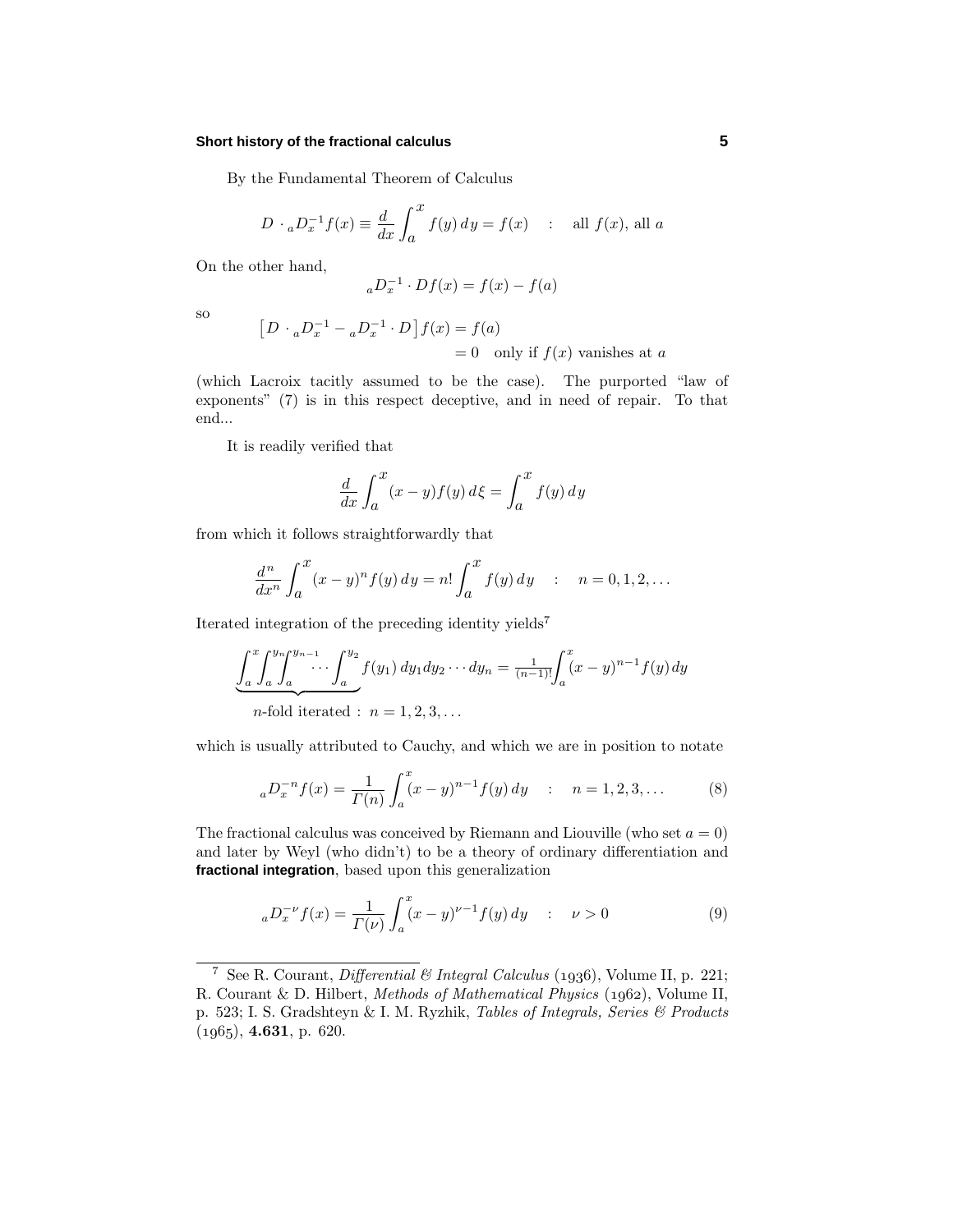#### **Short history of the fractional calculus 5**

By the Fundamental Theorem of Calculus

$$
D \cdot {}_aD_x^{-1} f(x) \equiv \frac{d}{dx} \int_a^x f(y) \, dy = f(x) \quad : \quad \text{all } f(x), \text{ all } a
$$

On the other hand,

$$
{}_aD_x^{-1} \cdot Df(x) = f(x) - f(a)
$$

so

$$
[D \cdot {}_aD_x^{-1} - {}_aD_x^{-1} \cdot D]f(x) = f(a)
$$
  
= 0 only if  $f(x)$  vanishes at a

(which Lacroix tacitly assumed to be the case). The purported "law of exponents" (7) is in this respect deceptive, and in need of repair. To that end...

It is readily verified that

$$
\frac{d}{dx} \int_{a}^{x} (x - y) f(y) d\xi = \int_{a}^{x} f(y) dy
$$

from which it follows straightforwardly that

$$
\frac{d^n}{dx^n} \int_a^x (x - y)^n f(y) \, dy = n! \int_a^x f(y) \, dy \quad : \quad n = 0, 1, 2, \dots
$$

Iterated integration of the preceding identity yields<sup>7</sup>

$$
\underbrace{\int_a^x \int_a^{y_n} \int_a^{y_{n-1}} \cdots \int_a^{y_2} f(y_1) \, dy_1 dy_2 \cdots dy_n}_{n \text{-fold iterated : } n = 1, 2, 3, \dots} = \frac{1}{(n-1)!} \int_a^x (x - y)^{n-1} f(y) \, dy
$$

which is usually attributed to Cauchy, and which we are in position to notate

$$
{}_{a}D_{x}^{-n}f(x) = \frac{1}{\Gamma(n)} \int_{a}^{x} (x - y)^{n-1} f(y) \, dy \quad : \quad n = 1, 2, 3, \dots \tag{8}
$$

The fractional calculus was conceived by Riemann and Liouville (who set  $a = 0$ ) and later by Weyl (who didn't) to be a theory of ordinary differentiation and **fractional integration**, based upon this generalization

$$
{}_{a}D_{x}^{-\nu}f(x) = \frac{1}{\Gamma(\nu)} \int_{a}^{x} (x - y)^{\nu - 1} f(y) \, dy \quad : \quad \nu > 0 \tag{9}
$$

<sup>&</sup>lt;sup>7</sup> See R. Courant, *Differential*  $\&$  *Integral Calculus* (1936), Volume II, p. 221; R. Courant & D. Hilbert, Methods of Mathematical Physics (1962), Volume II, p. 523; I. S. Gradshteyn & I. M. Ryzhik, Tables of Integrals, Series & Products  $(1965), 4.631, p. 620.$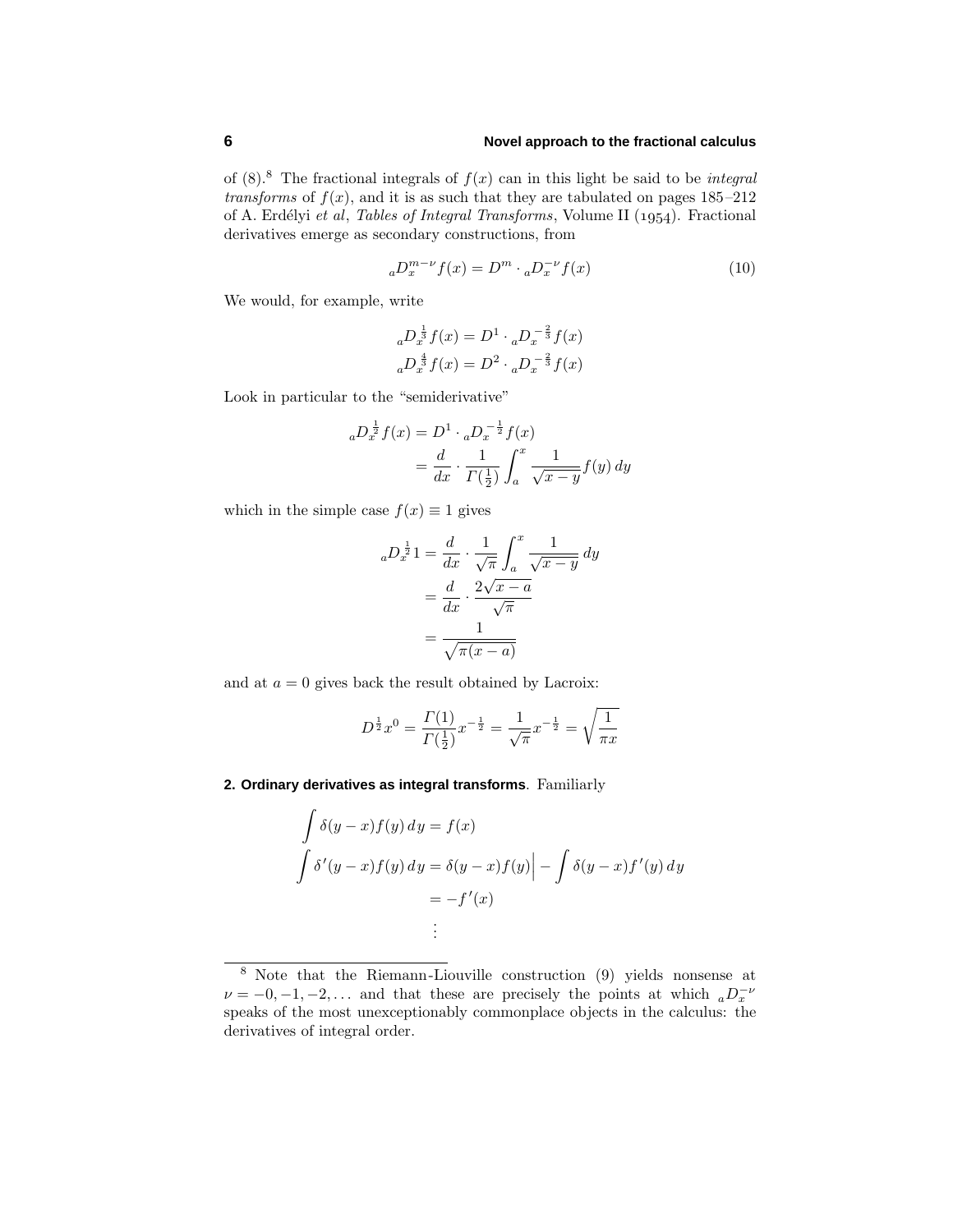## **6 Novel approach to the fractional calculus**

of  $(8)$ .<sup>8</sup> The fractional integrals of  $f(x)$  can in this light be said to be *integral transforms* of  $f(x)$ , and it is as such that they are tabulated on pages  $185-212$ of A. Erdélyi et al, Tables of Integral Transforms, Volume II (1954). Fractional derivatives emerge as secondary constructions, from

$$
{}_{a}D_{x}^{m-\nu}f(x) = D^{m} \cdot {}_{a}D_{x}^{-\nu}f(x) \tag{10}
$$

We would, for example, write

$$
{}_{a}D_{x}^{\frac{1}{3}}f(x) = D^{1} \cdot {}_{a}D_{x}^{-\frac{2}{3}}f(x)
$$

$$
{}_{a}D_{x}^{\frac{4}{3}}f(x) = D^{2} \cdot {}_{a}D_{x}^{-\frac{2}{3}}f(x)
$$

Look in particular to the "semiderivative"

$$
{}_{a}D_{x}^{\frac{1}{2}}f(x) = D^{1} \cdot {}_{a}D_{x}^{-\frac{1}{2}}f(x)
$$
  
=  $\frac{d}{dx} \cdot \frac{1}{\Gamma(\frac{1}{2})} \int_{a}^{x} \frac{1}{\sqrt{x-y}} f(y) dy$ 

which in the simple case  $f(x) \equiv 1$  gives

$$
{}_{a}D_{x}^{\frac{1}{2}}1 = \frac{d}{dx} \cdot \frac{1}{\sqrt{\pi}} \int_{a}^{x} \frac{1}{\sqrt{x-y}} dy
$$

$$
= \frac{d}{dx} \cdot \frac{2\sqrt{x-a}}{\sqrt{\pi}}
$$

$$
= \frac{1}{\sqrt{\pi(x-a)}}
$$

and at  $a = 0$  gives back the result obtained by Lacroix:

$$
D^{\frac{1}{2}}x^0 = \frac{\Gamma(1)}{\Gamma(\frac{1}{2})}x^{-\frac{1}{2}} = \frac{1}{\sqrt{\pi}}x^{-\frac{1}{2}} = \sqrt{\frac{1}{\pi x}}
$$

#### **2. Ordinary derivatives as integral transforms**. Familiarly

$$
\int \delta(y-x)f(y) dy = f(x)
$$
  

$$
\int \delta'(y-x)f(y) dy = \delta(y-x)f(y) - \int \delta(y-x)f'(y) dy
$$
  

$$
= -f'(x)
$$
  
:

<sup>8</sup> Note that the Riemann-Liouville construction (9) yields nonsense at  $\nu = -0, -1, -2, \ldots$  and that these are precisely the points at which  ${}_{a}D_{x}^{-\nu}$ speaks of the most unexceptionably commonplace objects in the calculus: the derivatives of integral order.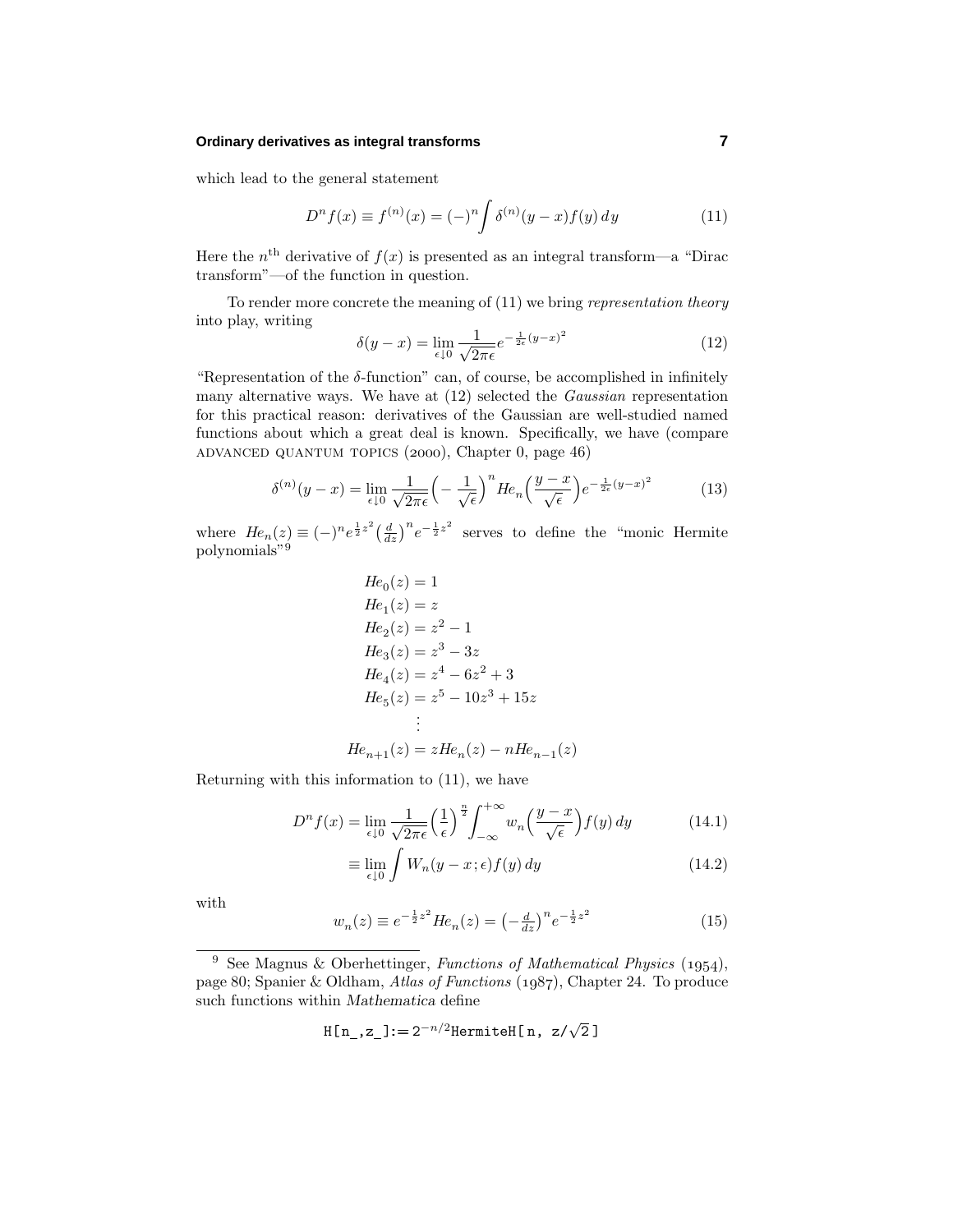#### **Ordinary derivatives as integral transforms 7**

which lead to the general statement

$$
D^{n} f(x) \equiv f^{(n)}(x) = (-)^{n} \int \delta^{(n)}(y - x) f(y) \, dy \tag{11}
$$

Here the  $n<sup>th</sup>$  derivative of  $f(x)$  is presented as an integral transform—a "Dirac" transform"—of the function in question.

To render more concrete the meaning of (11) we bring representation theory into play, writing

$$
\delta(y - x) = \lim_{\epsilon \downarrow 0} \frac{1}{\sqrt{2\pi\epsilon}} e^{-\frac{1}{2\epsilon}(y - x)^2}
$$
\n(12)

"Representation of the *δ*-function" can, of course, be accomplished in infinitely many alternative ways. We have at (12) selected the Gaussian representation for this practical reason: derivatives of the Gaussian are well-studied named functions about which a great deal is known. Specifically, we have (compare ADVANCED QUANTUM TOPICS  $(2000)$ , Chapter 0, page 46)

$$
\delta^{(n)}(y-x) = \lim_{\epsilon \downarrow 0} \frac{1}{\sqrt{2\pi\epsilon}} \left( -\frac{1}{\sqrt{\epsilon}} \right)^n H e_n \left( \frac{y-x}{\sqrt{\epsilon}} \right) e^{-\frac{1}{2\epsilon}(y-x)^2} \tag{13}
$$

where  $He_n(z) \equiv (-)^n e^{\frac{1}{2}z^2} \left(\frac{d}{dz}\right)^n e^{-\frac{1}{2}z^2}$  serves to define the "monic Hermite" polynomials"<sup>9</sup>

$$
He_0(z) = 1
$$
  
\n
$$
He_1(z) = z
$$
  
\n
$$
He_2(z) = z^2 - 1
$$
  
\n
$$
He_3(z) = z^3 - 3z
$$
  
\n
$$
He_4(z) = z^4 - 6z^2 + 3
$$
  
\n
$$
He_5(z) = z^5 - 10z^3 + 15z
$$
  
\n
$$
\vdots
$$

$$
He_{n+1}(z) = zHe_n(z) - nHe_{n-1}(z)
$$

Returning with this information to (11), we have

$$
D^{n} f(x) = \lim_{\epsilon \downarrow 0} \frac{1}{\sqrt{2\pi\epsilon}} \left(\frac{1}{\epsilon}\right)^{\frac{n}{2}} \int_{-\infty}^{+\infty} w_{n} \left(\frac{y-x}{\sqrt{\epsilon}}\right) f(y) \, dy \tag{14.1}
$$

$$
\equiv \lim_{\epsilon \downarrow 0} \int W_n(y - x; \epsilon) f(y) \, dy \tag{14.2}
$$

with

$$
w_n(z) \equiv e^{-\frac{1}{2}z^2} H e_n(z) = \left(-\frac{d}{dz}\right)^n e^{-\frac{1}{2}z^2}
$$
\n(15)

$$
H[n_-,z_-] \colon = 2^{-n/2} Hermite H[n, z/\sqrt{2}]
$$

<sup>&</sup>lt;sup>9</sup> See Magnus & Oberhettinger, Functions of Mathematical Physics (1954), page 80; Spanier & Oldham, Atlas of Functions  $(1987)$ , Chapter 24. To produce such functions within *Mathematica* define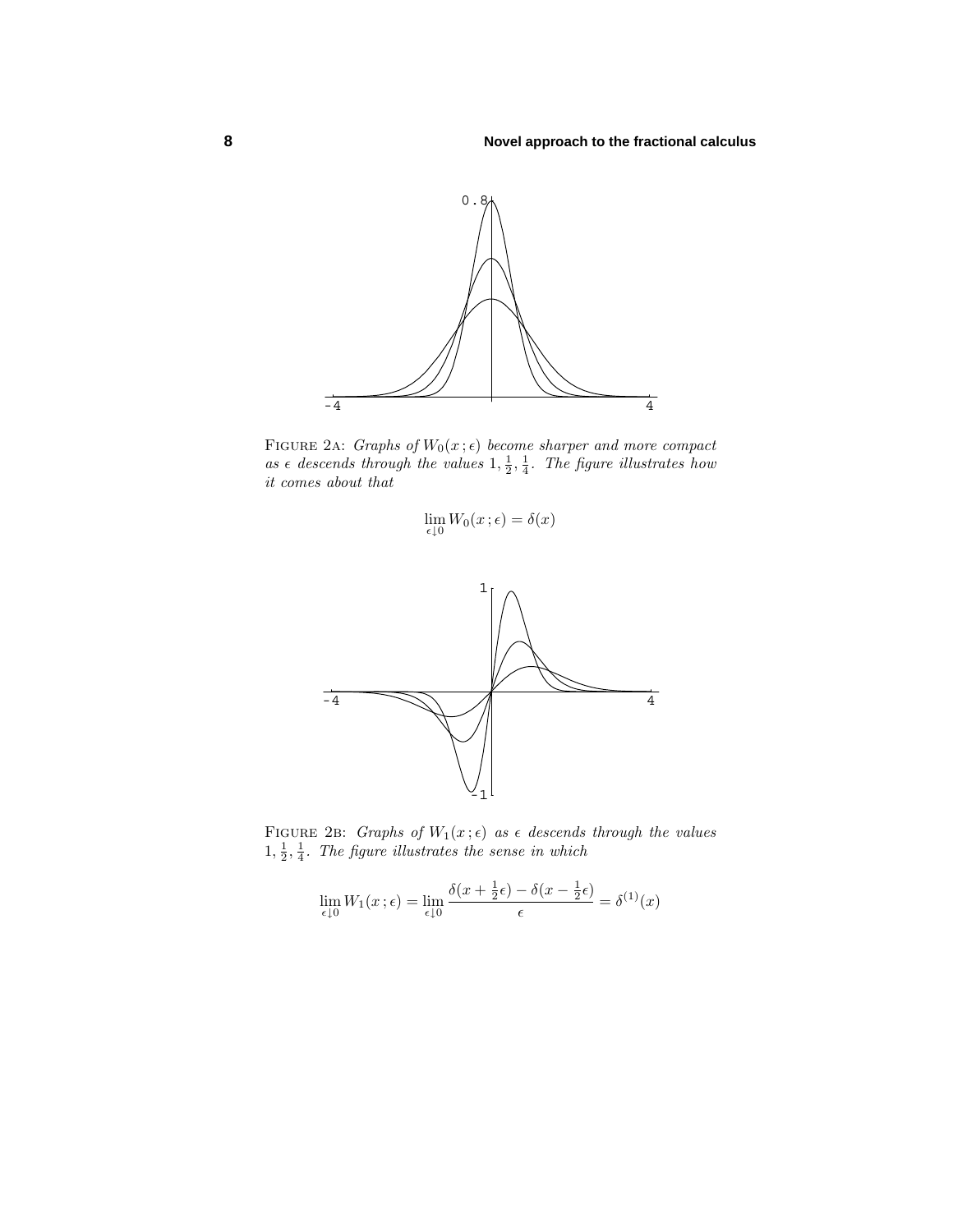

FIGURE 2A: *Graphs of*  $W_0(x; \epsilon)$  become sharper and more compact as  $\epsilon$  descends through the values  $1, \frac{1}{2}, \frac{1}{4}$ . The figure illustrates how it comes about that

$$
\lim_{\epsilon \downarrow 0} W_0(x;\epsilon) = \delta(x)
$$



FIGURE 2B: Graphs of  $W_1(x;\epsilon)$  as  $\epsilon$  descends through the values  $1, \frac{1}{2}, \frac{1}{4}$ . The figure illustrates the sense in which

$$
\lim_{\epsilon \downarrow 0} W_1(x;\epsilon) = \lim_{\epsilon \downarrow 0} \frac{\delta(x + \frac{1}{2}\epsilon) - \delta(x - \frac{1}{2}\epsilon)}{\epsilon} = \delta^{(1)}(x)
$$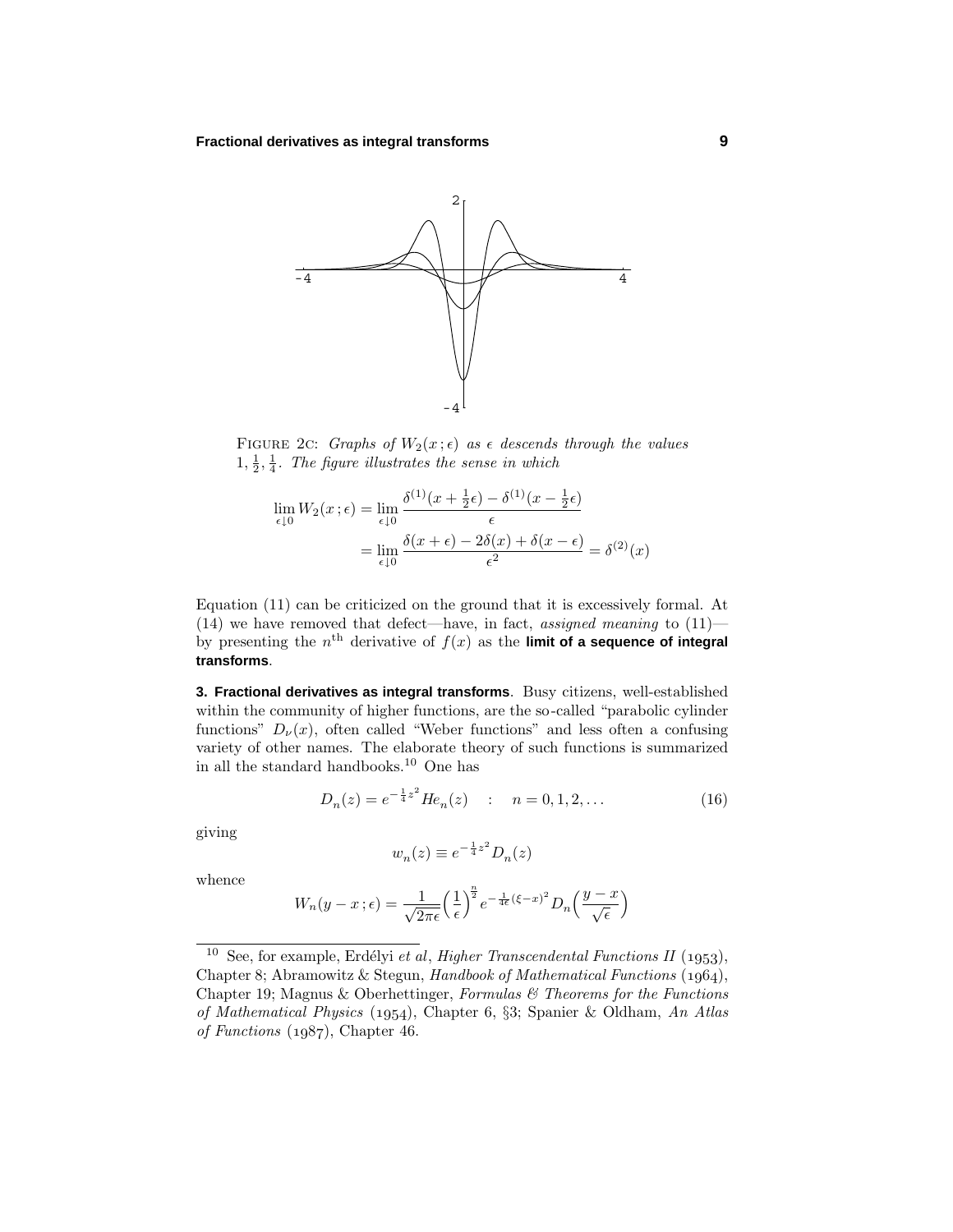

FIGURE 2c: Graphs of  $W_2(x;\epsilon)$  as  $\epsilon$  descends through the values  $1, \frac{1}{2}, \frac{1}{4}$ . The figure illustrates the sense in which

$$
\lim_{\epsilon \downarrow 0} W_2(x;\epsilon) = \lim_{\epsilon \downarrow 0} \frac{\delta^{(1)}(x + \frac{1}{2}\epsilon) - \delta^{(1)}(x - \frac{1}{2}\epsilon)}{\epsilon}
$$

$$
= \lim_{\epsilon \downarrow 0} \frac{\delta(x+\epsilon) - 2\delta(x) + \delta(x-\epsilon)}{\epsilon^2} = \delta^{(2)}(x)
$$

Equation (11) can be criticized on the ground that it is excessively formal. At (14) we have removed that defect—have, in fact, assigned meaning to  $(11)$  by presenting the  $n<sup>th</sup>$  derivative of  $f(x)$  as the **limit of a sequence of integral transforms**.

**3. Fractional derivatives as integral transforms**. Busy citizens, well-established within the community of higher functions, are the so-called "parabolic cylinder functions"  $D_{\nu}(x)$ , often called "Weber functions" and less often a confusing variety of other names. The elaborate theory of such functions is summarized in all the standard handbooks.<sup>10</sup> One has

$$
D_n(z) = e^{-\frac{1}{4}z^2} H e_n(z) \quad : \quad n = 0, 1, 2, \dots \tag{16}
$$

giving

$$
w_n(z) \equiv e^{-\frac{1}{4}z^2} D_n(z)
$$

whence

$$
W_n(y-x\,;\epsilon) = \frac{1}{\sqrt{2\pi\epsilon}} \left(\frac{1}{\epsilon}\right)^{\frac{n}{2}} e^{-\frac{1}{4\epsilon}(\xi-x)^2} D_n\left(\frac{y-x}{\sqrt{\epsilon}}\right)
$$

<sup>&</sup>lt;sup>10</sup> See, for example, Erdélyi et al, Higher Transcendental Functions II (1953), Chapter 8; Abramowitz & Stegun, Handbook of Mathematical Functions  $(1964)$ , Chapter 19; Magnus & Oberhettinger, Formulas  $\mathcal C$  Theorems for the Functions of Mathematical Physics (1954), Chapter 6, §3; Spanier & Oldham, An Atlas of Functions  $(1987)$ , Chapter 46.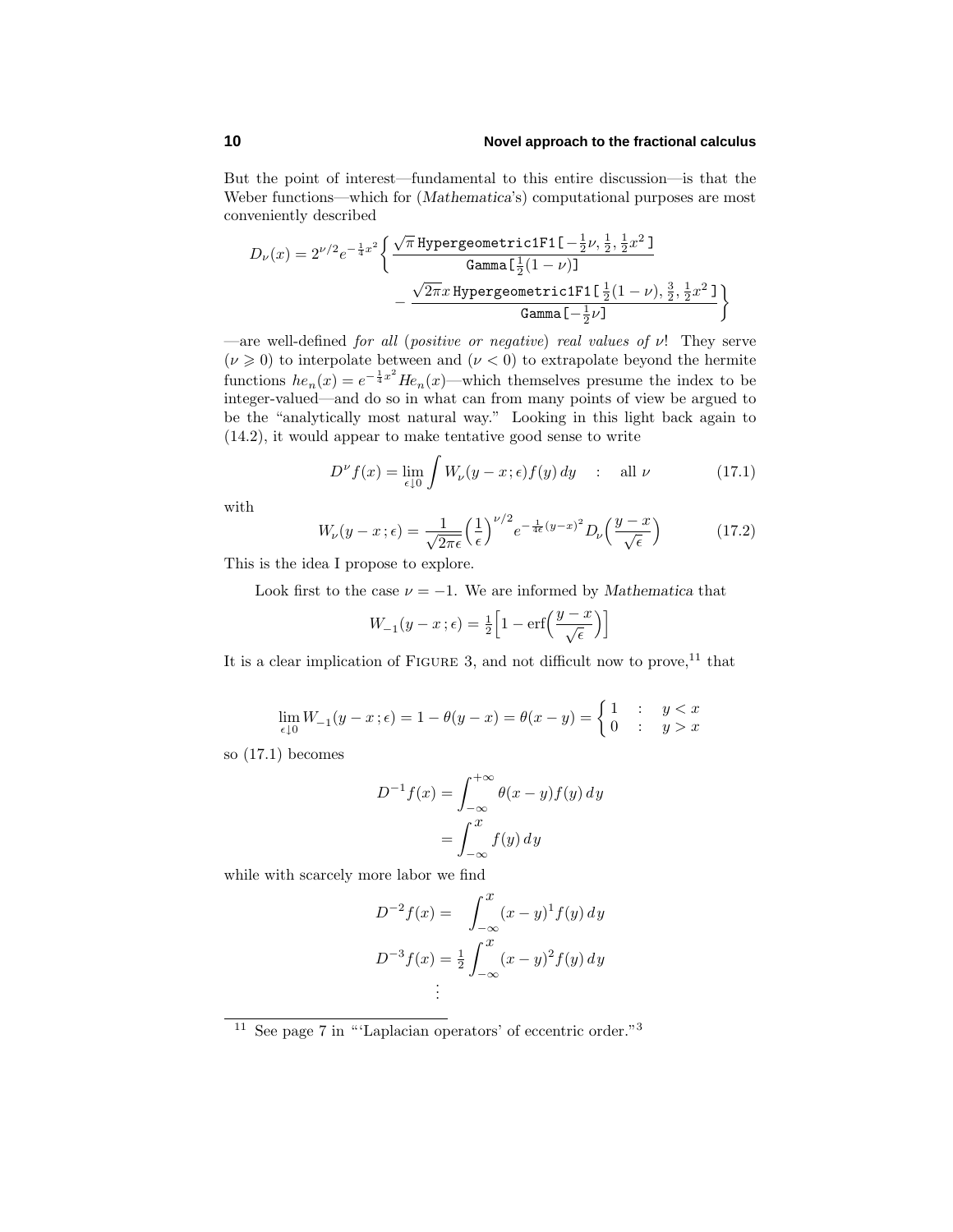#### **10 Novel approach to the fractional calculus**

But the point of interest—fundamental to this entire discussion—is that the Weber functions—which for (*Mathematica*'s) computational purposes are most conveniently described

$$
\begin{aligned} D_{\nu}(x) &= 2^{\nu/2} e^{-\frac{1}{4}x^2} \bigg\{ \frac{\sqrt{\pi}\,\text{Hypergeometric1F1}\left[-\frac{1}{2}\nu,\frac{1}{2},\frac{1}{2}x^2\,\right]}{\text{Gamma}\left[\frac{1}{2}(1-\nu)\right]} \\ &\quad - \frac{\sqrt{2\pi}x\,\text{Hypergeometric1F1}\left[\frac{1}{2}(1-\nu),\frac{3}{2},\frac{1}{2}x^2\,\right]}{\text{Gamma}\left[-\frac{1}{2}\nu\right]} \bigg\} \end{aligned}
$$

—are well-defined for all (positive or negative) real values of *ν*! They serve  $(\nu \geq 0)$  to interpolate between and  $(\nu < 0)$  to extrapolate beyond the hermite functions  $he_n(x) = e^{-\frac{1}{4}x^2}He_n(x)$ —which themselves presume the index to be integer-valued—and do so in what can from many points of view be argued to be the "analytically most natural way." Looking in this light back again to (14.2), it would appear to make tentative good sense to write

$$
D^{\nu} f(x) = \lim_{\epsilon \downarrow 0} \int W_{\nu}(y - x; \epsilon) f(y) \, dy \quad : \quad \text{all } \nu \tag{17.1}
$$

with

$$
W_{\nu}(y-x;\epsilon) = \frac{1}{\sqrt{2\pi\epsilon}} \left(\frac{1}{\epsilon}\right)^{\nu/2} e^{-\frac{1}{4\epsilon}(y-x)^2} D_{\nu}\left(\frac{y-x}{\sqrt{\epsilon}}\right)
$$
(17.2)

This is the idea I propose to explore.

Look first to the case  $\nu = -1$ . We are informed by *Mathematica* that

$$
W_{-1}(y-x;\epsilon) = \frac{1}{2} \left[ 1 - \text{erf}\left(\frac{y-x}{\sqrt{\epsilon}}\right) \right]
$$

It is a clear implication of FIGURE 3, and not difficult now to prove,<sup>11</sup> that

$$
\lim_{\epsilon \downarrow 0} W_{-1}(y - x; \epsilon) = 1 - \theta(y - x) = \theta(x - y) = \begin{cases} 1 & : y < x \\ 0 & : y > x \end{cases}
$$

so (17.1) becomes

$$
D^{-1}f(x) = \int_{-\infty}^{+\infty} \theta(x - y)f(y) dy
$$

$$
= \int_{-\infty}^{x} f(y) dy
$$

while with scarcely more labor we find

$$
D^{-2}f(x) = \int_{-\infty}^{x} (x - y)^{1} f(y) dy
$$
  

$$
D^{-3}f(x) = \frac{1}{2} \int_{-\infty}^{x} (x - y)^{2} f(y) dy
$$
  

$$
\vdots
$$

 $\frac{11}{11}$  See page 7 in "'Laplacian operators' of eccentric order."<sup>3</sup>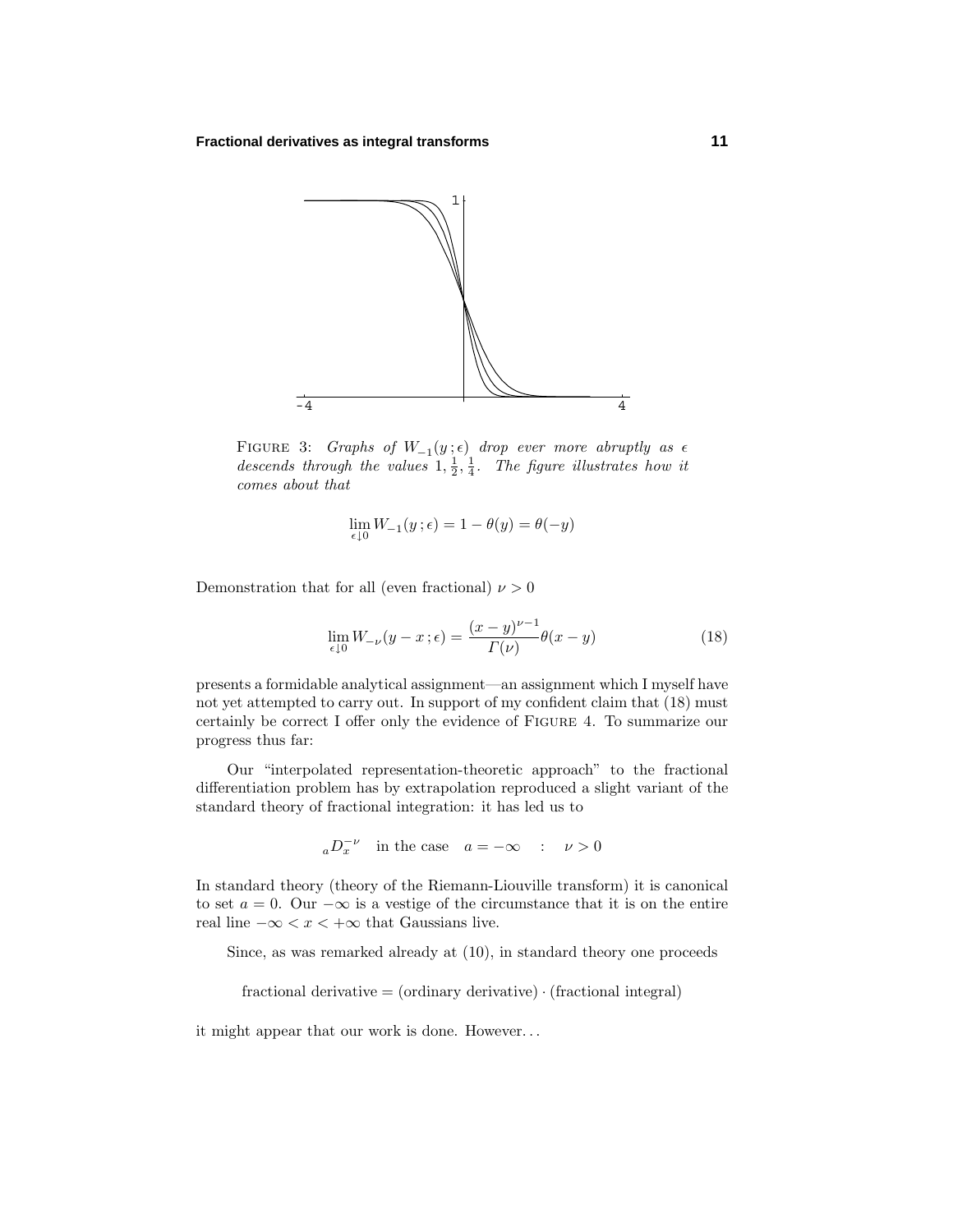

FIGURE 3: Graphs of  $W_{-1}(y; \epsilon)$  drop ever more abruptly as  $\epsilon$ descends through the values  $1, \frac{1}{2}, \frac{1}{4}$ . The figure illustrates how it comes about that

$$
\lim_{\epsilon \downarrow 0} W_{-1}(y \,;\epsilon) = 1 - \theta(y) = \theta(-y)
$$

Demonstration that for all (even fractional)  $\nu > 0$ 

$$
\lim_{\epsilon \downarrow 0} W_{-\nu}(y - x; \epsilon) = \frac{(x - y)^{\nu - 1}}{\Gamma(\nu)} \theta(x - y)
$$
\n(18)

presents a formidable analytical assignment—an assignment which I myself have not yet attempted to carry out. In support of my confident claim that (18) must certainly be correct I offer only the evidence of Figure 4. To summarize our progress thus far:

Our "interpolated representation-theoretic approach" to the fractional differentiation problem has by extrapolation reproduced a slight variant of the standard theory of fractional integration: it has led us to

$$
{}_{a}D_{x}^{-\nu} \quad \text{in the case} \quad a = -\infty \quad : \quad \nu > 0
$$

In standard theory (theory of the Riemann-Liouville transform) it is canonical to set  $a = 0$ . Our  $-\infty$  is a vestige of the circumstance that it is on the entire real line  $-\infty < x < +\infty$  that Gaussians live.

Since, as was remarked already at (10), in standard theory one proceeds

fractional derivative  $=$  (ordinary derivative)  $\cdot$  (fractional integral)

it might appear that our work is done. However*...*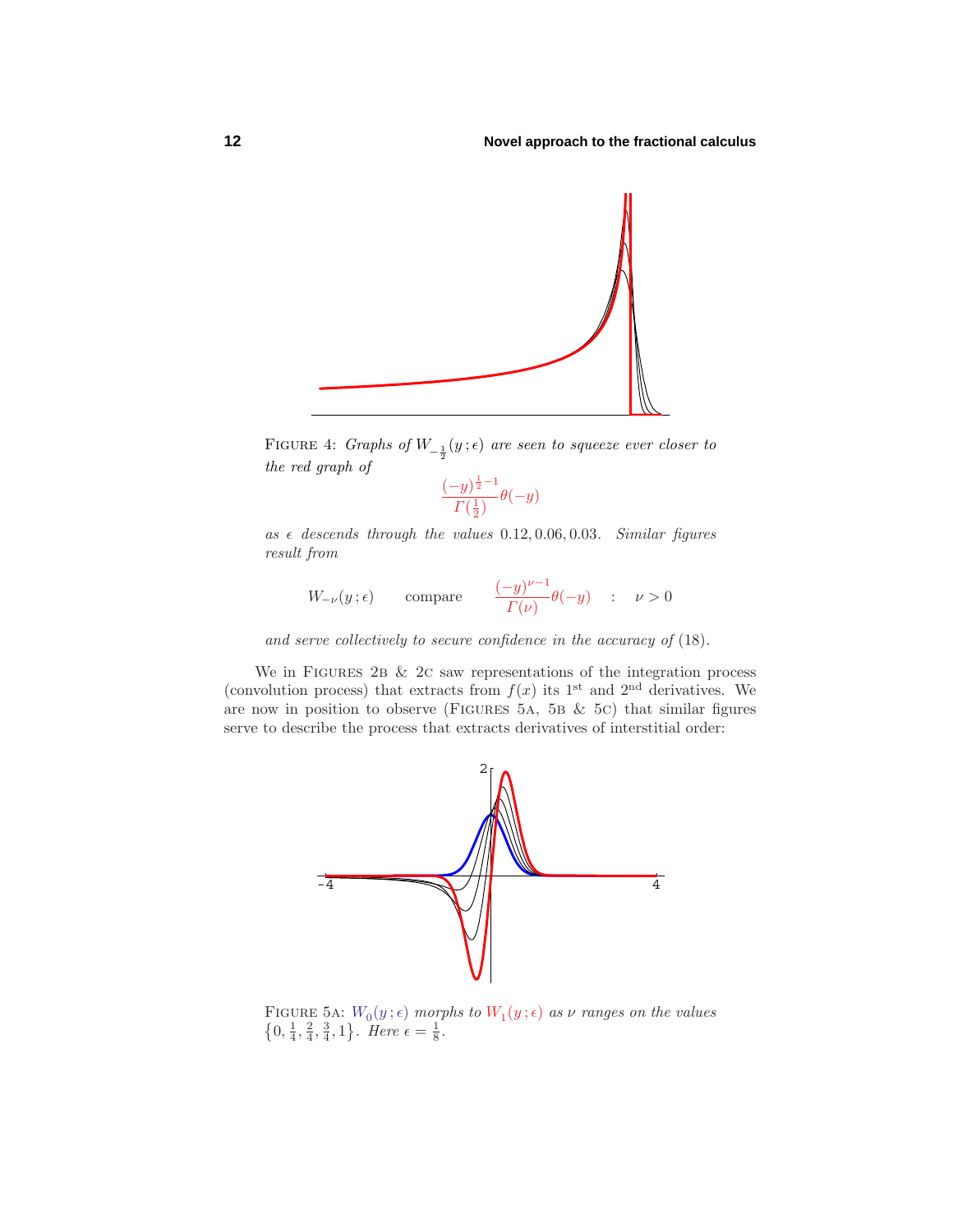

FIGURE 4: Graphs of  $W_{-\frac{1}{2}}(y; \epsilon)$  are seen to squeeze ever closer to the red graph of

$$
\frac{(-y)^{\frac{1}{2}-1}}{\varGamma(\frac{1}{2})}\theta(-y)
$$

as  $\epsilon$  descends through the values 0.12, 0.06, 0.03. Similar figures result from

$$
W_{-\nu}(y;\epsilon) \qquad \text{compare} \qquad \frac{(-y)^{\nu-1}}{\Gamma(\nu)}\theta(-y) \quad : \quad \nu > 0
$$

and serve collectively to secure confidence in the accuracy of (18).

We in FIGURES 2B  $& 2c$  saw representations of the integration process (convolution process) that extracts from  $f(x)$  its 1<sup>st</sup> and 2<sup>nd</sup> derivatives. We are now in position to observe (FIGURES 5A, 5B  $&$  5C) that similar figures serve to describe the process that extracts derivatives of interstitial order:



FIGURE 5A:  $W_0(y; \epsilon)$  morphs to  $W_1(y; \epsilon)$  as  $\nu$  ranges on the values  $\{0, \frac{1}{4}, \frac{2}{4}, \frac{3}{4}, 1\}$ . Here  $\epsilon = \frac{1}{8}$ .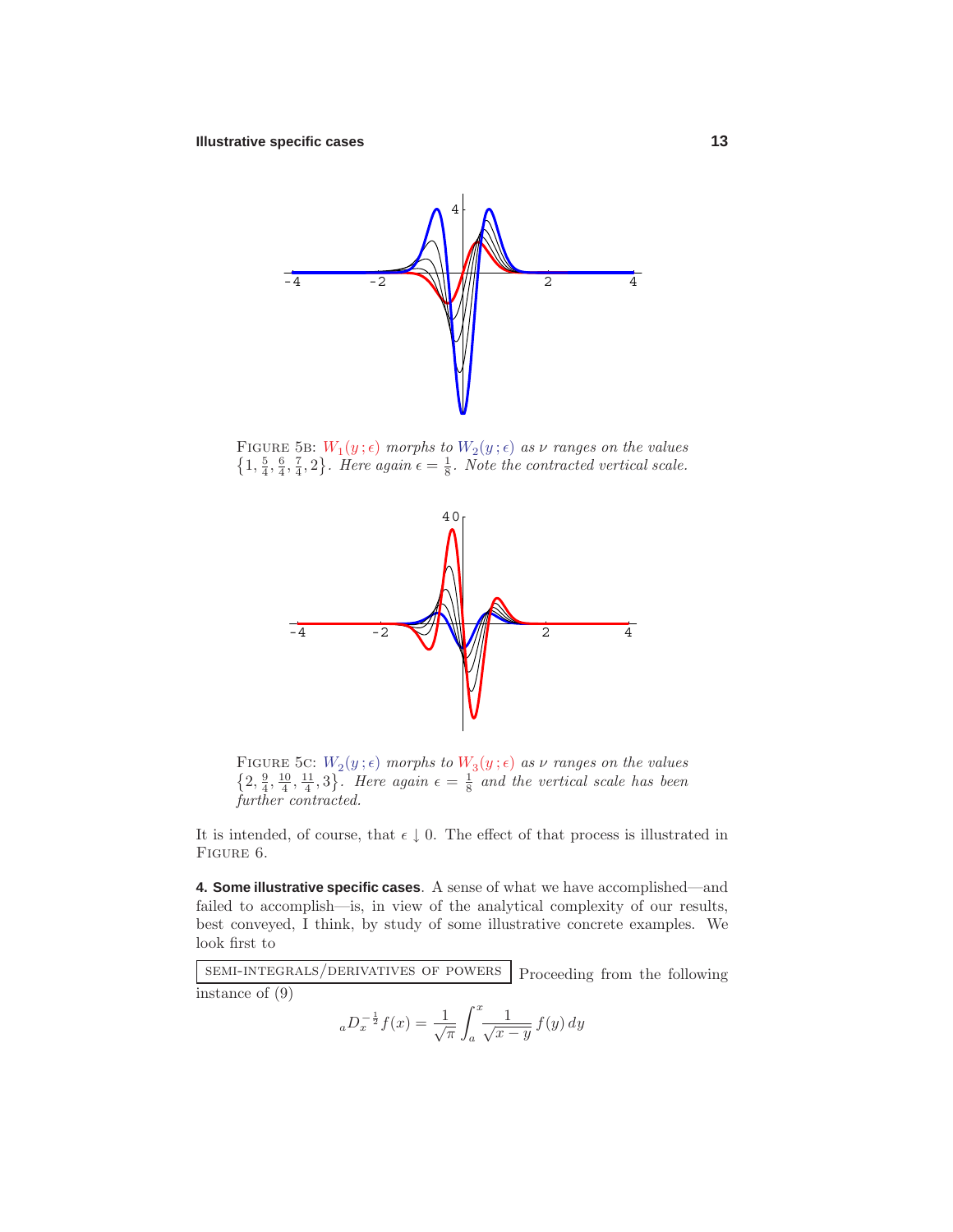

FIGURE 5B:  $W_1(y; \epsilon)$  morphs to  $W_2(y; \epsilon)$  as  $\nu$  ranges on the values  $\{1, \frac{5}{4}, \frac{6}{4}, \frac{7}{4}, 2\}$ . Here again  $\epsilon = \frac{1}{8}$ . Note the contracted vertical scale.



FIGURE 5C:  $W_2(y; \epsilon)$  morphs to  $W_3(y; \epsilon)$  as  $\nu$  ranges on the values  $\{2, \frac{9}{4}, \frac{10}{4}, \frac{11}{4}, 3\}$ . Here again  $\epsilon = \frac{1}{8}$  and the vertical scale has been further contracted.

It is intended, of course, that  $\epsilon \downarrow 0$ . The effect of that process is illustrated in FIGURE 6.

**4. Some illustrative specific cases**. A sense of what we have accomplished—and failed to accomplish—is, in view of the analytical complexity of our results, best conveyed, I think, by study of some illustrative concrete examples. We look first to

semi-integrals/derivatives of powers Proceeding from the following instance of  $(9)$ 

$$
{}_aD_x^{-\frac{1}{2}}f(x) = \frac{1}{\sqrt{\pi}} \int_a^x \frac{1}{\sqrt{x-y}} f(y) \, dy
$$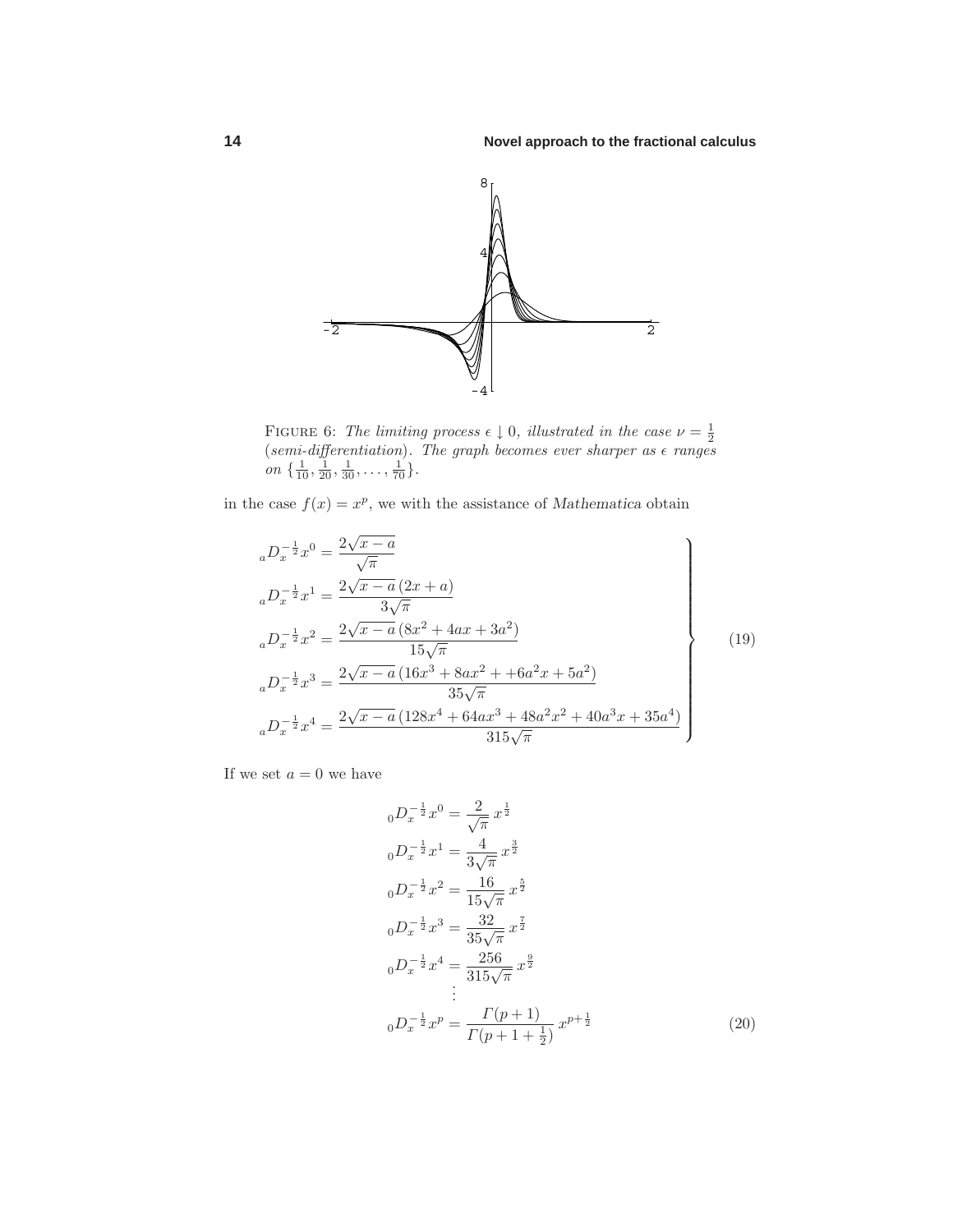

FIGURE 6: The limiting process  $\epsilon \downarrow 0$ , illustrated in the case  $\nu = \frac{1}{2}$  (semi-differentiation). The graph becomes ever sharper as  $\epsilon$  ranges on  $\{\frac{1}{10}, \frac{1}{20}, \frac{1}{30}, \ldots, \frac{1}{70}\}.$ 

in the case  $f(x) = x^p$ , we with the assistance of *Mathematica* obtain

$$
{}_{a}D_{x}^{-\frac{1}{2}}x^{0} = \frac{2\sqrt{x-a}}{\sqrt{\pi}}
$$
\n
$$
{}_{a}D_{x}^{-\frac{1}{2}}x^{1} = \frac{2\sqrt{x-a}(2x+a)}{3\sqrt{\pi}}
$$
\n
$$
{}_{a}D_{x}^{-\frac{1}{2}}x^{2} = \frac{2\sqrt{x-a}(8x^{2}+4ax+3a^{2})}{15\sqrt{\pi}}
$$
\n
$$
{}_{a}D_{x}^{-\frac{1}{2}}x^{3} = \frac{2\sqrt{x-a}(16x^{3}+8ax^{2}+6a^{2}x+5a^{2})}{35\sqrt{\pi}}
$$
\n
$$
{}_{a}D_{x}^{-\frac{1}{2}}x^{4} = \frac{2\sqrt{x-a}(128x^{4}+64ax^{3}+48a^{2}x^{2}+40a^{3}x+35a^{4})}{315\sqrt{\pi}}
$$
\n(19)

If we set  $a = 0$  we have

$$
{}_{0}D_{x}^{-\frac{1}{2}}x^{0} = \frac{2}{\sqrt{\pi}}x^{\frac{1}{2}}
$$
  
\n
$$
{}_{0}D_{x}^{-\frac{1}{2}}x^{1} = \frac{4}{3\sqrt{\pi}}x^{\frac{3}{2}}
$$
  
\n
$$
{}_{0}D_{x}^{-\frac{1}{2}}x^{2} = \frac{16}{15\sqrt{\pi}}x^{\frac{5}{2}}
$$
  
\n
$$
{}_{0}D_{x}^{-\frac{1}{2}}x^{3} = \frac{32}{35\sqrt{\pi}}x^{\frac{7}{2}}
$$
  
\n
$$
{}_{0}D_{x}^{-\frac{1}{2}}x^{4} = \frac{256}{315\sqrt{\pi}}x^{\frac{9}{2}}
$$
  
\n
$$
\vdots
$$
  
\n
$$
{}_{0}D_{x}^{-\frac{1}{2}}x^{p} = \frac{\Gamma(p+1)}{\Gamma(p+1+\frac{1}{2})}x^{p+\frac{1}{2}}
$$
\n(20)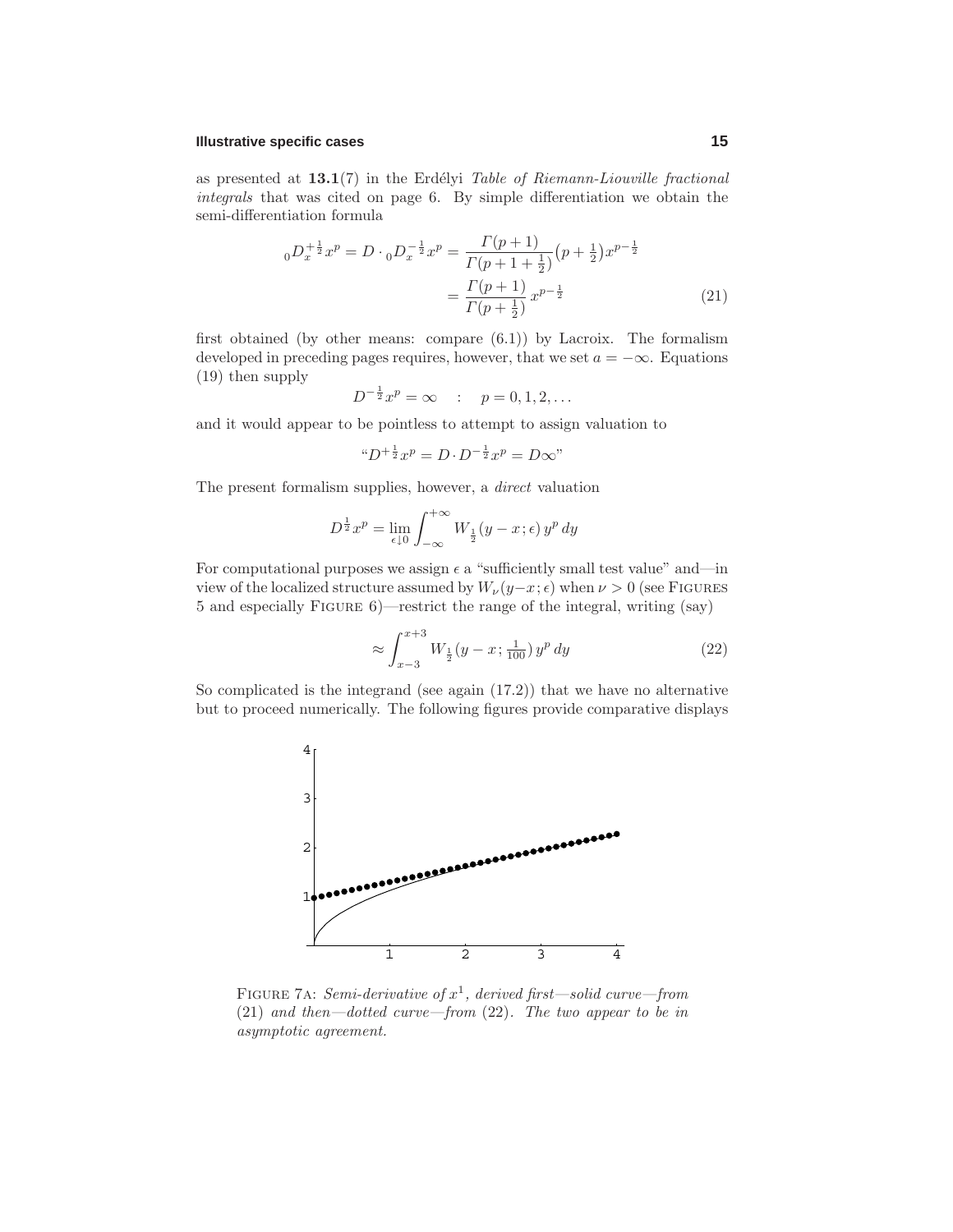#### **Illustrative specific cases 15**

as presented at  $13.1(7)$  in the Erdélyi Table of Riemann-Liouville fractional integrals that was cited on page 6. By simple differentiation we obtain the semi-differentiation formula

$$
{}_{0}D_{x}^{+\frac{1}{2}}x^{p} = D \cdot {}_{0}D_{x}^{-\frac{1}{2}}x^{p} = \frac{\Gamma(p+1)}{\Gamma(p+1+\frac{1}{2})}(p+\frac{1}{2})x^{p-\frac{1}{2}}
$$

$$
= \frac{\Gamma(p+1)}{\Gamma(p+\frac{1}{2})}x^{p-\frac{1}{2}} \tag{21}
$$

first obtained (by other means: compare  $(6.1)$ ) by Lacroix. The formalism developed in preceding pages requires, however, that we set  $a = -\infty$ . Equations (19) then supply

$$
D^{-\frac{1}{2}}x^p = \infty \quad : \quad p = 0, 1, 2, \dots
$$

and it would appear to be pointless to attempt to assign valuation to

$$
^{\mu}D^{+\frac{1}{2}}x^{p} = D \cdot D^{-\frac{1}{2}}x^{p} = D \infty"
$$

The present formalism supplies, however, a direct valuation

$$
D^{\frac{1}{2}}x^p = \lim_{\epsilon \downarrow 0} \int_{-\infty}^{+\infty} W_{\frac{1}{2}}(y - x; \epsilon) y^p dy
$$

For computational purposes we assign  $\epsilon$  a "sufficiently small test value" and—in view of the localized structure assumed by  $W_\nu(y-x;\epsilon)$  when  $\nu > 0$  (see FIGURES 5 and especially Figure 6)—restrict the range of the integral, writing (say)

$$
\approx \int_{x-3}^{x+3} W_{\frac{1}{2}}(y-x; \frac{1}{100}) y^p dy \tag{22}
$$

So complicated is the integrand (see again (17.2)) that we have no alternative but to proceed numerically. The following figures provide comparative displays



FIGURE 7A: Semi-derivative of  $x^1$ , derived first—solid curve—from (21) and then—dotted curve—from (22). The two appear to be in asymptotic agreement.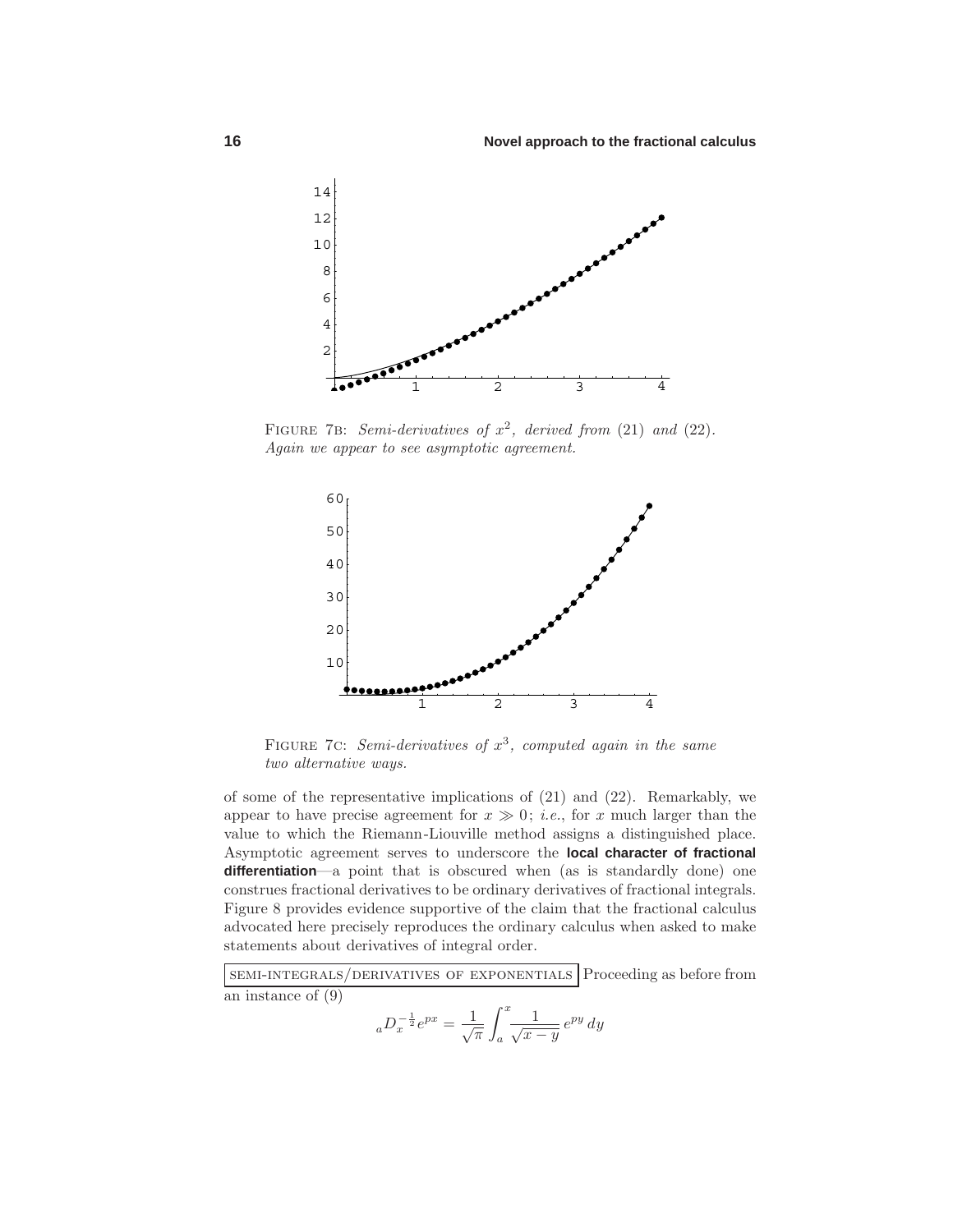

FIGURE 7B: Semi-derivatives of  $x^2$ , derived from (21) and (22). Again we appear to see asymptotic agreement.



FIGURE 7C: Semi-derivatives of  $x^3$ , computed again in the same two alternative ways.

of some of the representative implications of (21) and (22). Remarkably, we appear to have precise agreement for  $x \gg 0$ ; *i.e.*, for *x* much larger than the value to which the Riemann-Liouville method assigns a distinguished place. Asymptotic agreement serves to underscore the **local character of fractional differentiation**—a point that is obscured when (as is standardly done) one construes fractional derivatives to be ordinary derivatives of fractional integrals. Figure 8 provides evidence supportive of the claim that the fractional calculus advocated here precisely reproduces the ordinary calculus when asked to make statements about derivatives of integral order.

semi-integrals/derivatives of exponentials Proceeding as before from an instance of (9)

$$
{}_aD_x^{-\frac{1}{2}}e^{px} = \frac{1}{\sqrt{\pi}} \int_a^x \frac{1}{\sqrt{x-y}} e^{py} dy
$$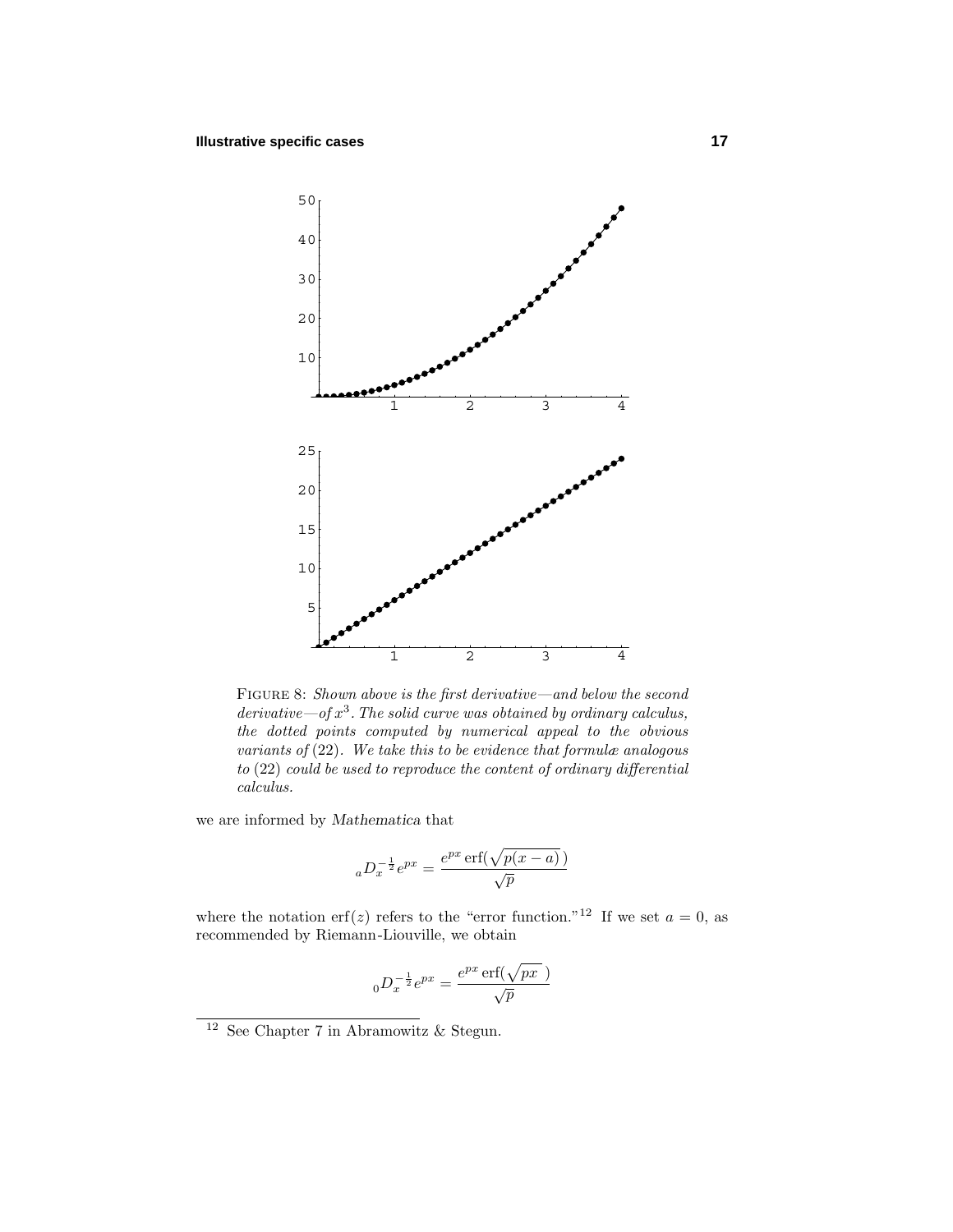

Figure 8: Shown above is the first derivative—and below the second derivative—of  $x^3$ . The solid curve was obtained by ordinary calculus, the dotted points computed by numerical appeal to the obvious variants of  $(22)$ . We take this to be evidence that formulæ analogous to (22) could be used to reproduce the content of ordinary differential calculus.

we are informed by *Mathematica* that

$$
{}_aD_x^{-\frac{1}{2}}e^{px} = \frac{e^{px}\operatorname{erf}(\sqrt{p(x-a)})}{\sqrt{p}}
$$

where the notation erf(*z*) refers to the "error function."<sup>12</sup> If we set  $a = 0$ , as recommended by Riemann-Liouville, we obtain

$$
{}_0D_x^{-\frac{1}{2}}e^{px} = \frac{e^{px}\operatorname{erf}(\sqrt{px})}{\sqrt{p}}
$$

 $^{12}$  See Chapter 7 in Abramowitz  $\&$  Stegun.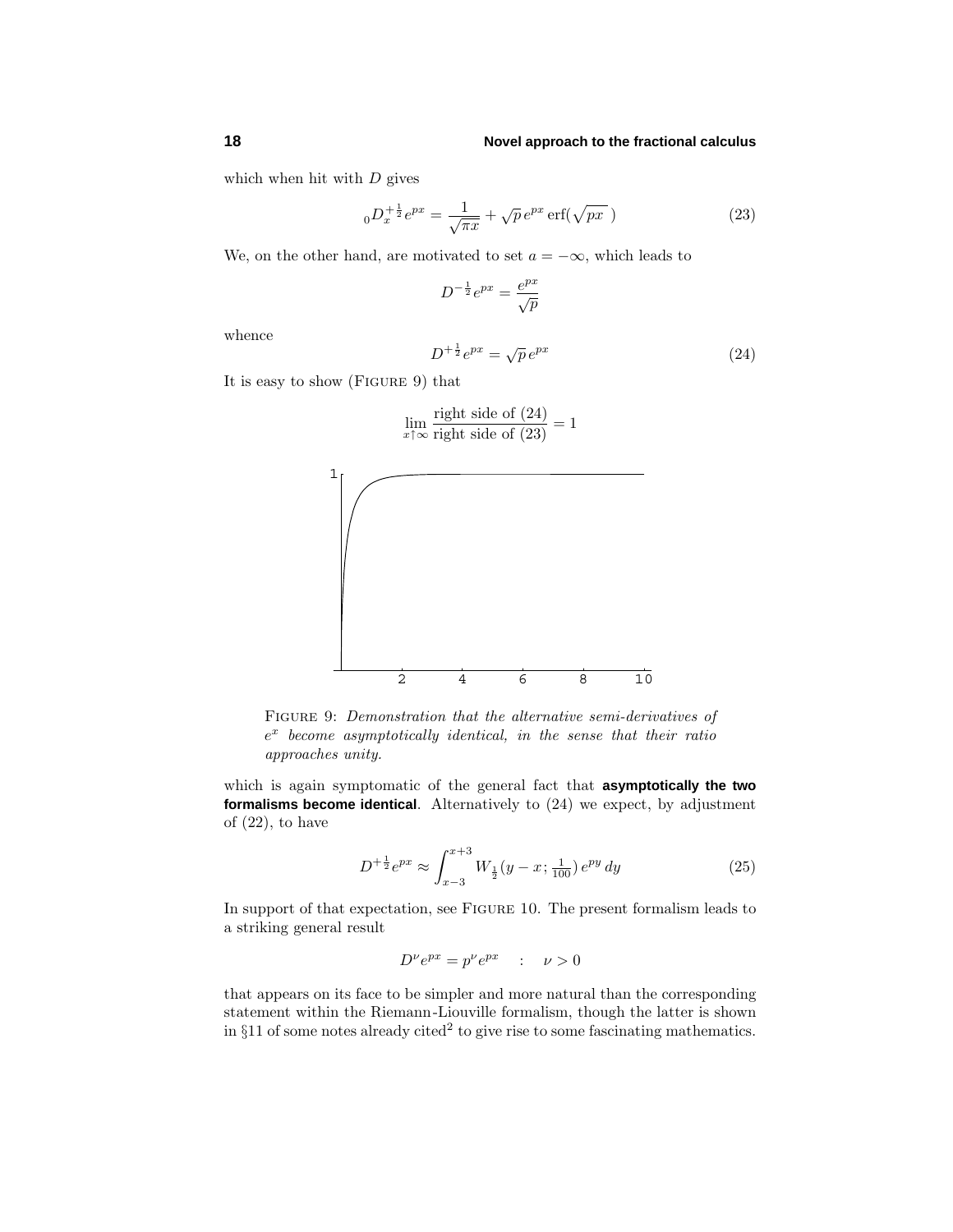#### **18 Novel approach to the fractional calculus**

which when hit with *D* gives

$$
{}_{0}D_{x}^{+\frac{1}{2}}e^{px} = \frac{1}{\sqrt{\pi x}} + \sqrt{p}e^{px}\operatorname{erf}(\sqrt{px})
$$
 (23)

We, on the other hand, are motivated to set  $a = -\infty$ , which leads to

$$
D^{-\frac{1}{2}}e^{px} = \frac{e^{px}}{\sqrt{p}}
$$

whence

$$
D^{+\frac{1}{2}}e^{px} = \sqrt{p}e^{px} \tag{24}
$$

It is easy to show (Figure 9) that

1

$$
\lim_{x \uparrow \infty} \frac{\text{right side of (24)}}{\text{right side of (23)}} = 1
$$



 $e^x$  become asymptotically identical, in the sense that their ratio approaches unity.

which is again symptomatic of the general fact that **asymptotically the two formalisms become identical**. Alternatively to (24) we expect, by adjustment of (22), to have

$$
D^{+\frac{1}{2}}e^{px} \approx \int_{x-3}^{x+3} W_{\frac{1}{2}}(y-x; \frac{1}{100}) e^{py} dy
$$
 (25)

In support of that expectation, see Figure 10. The present formalism leads to a striking general result

$$
D^{\nu}e^{px} = p^{\nu}e^{px} \quad : \quad \nu > 0
$$

that appears on its face to be simpler and more natural than the corresponding statement within the Riemann-Liouville formalism, though the latter is shown in  $§11$  of some notes already cited<sup>2</sup> to give rise to some fascinating mathematics.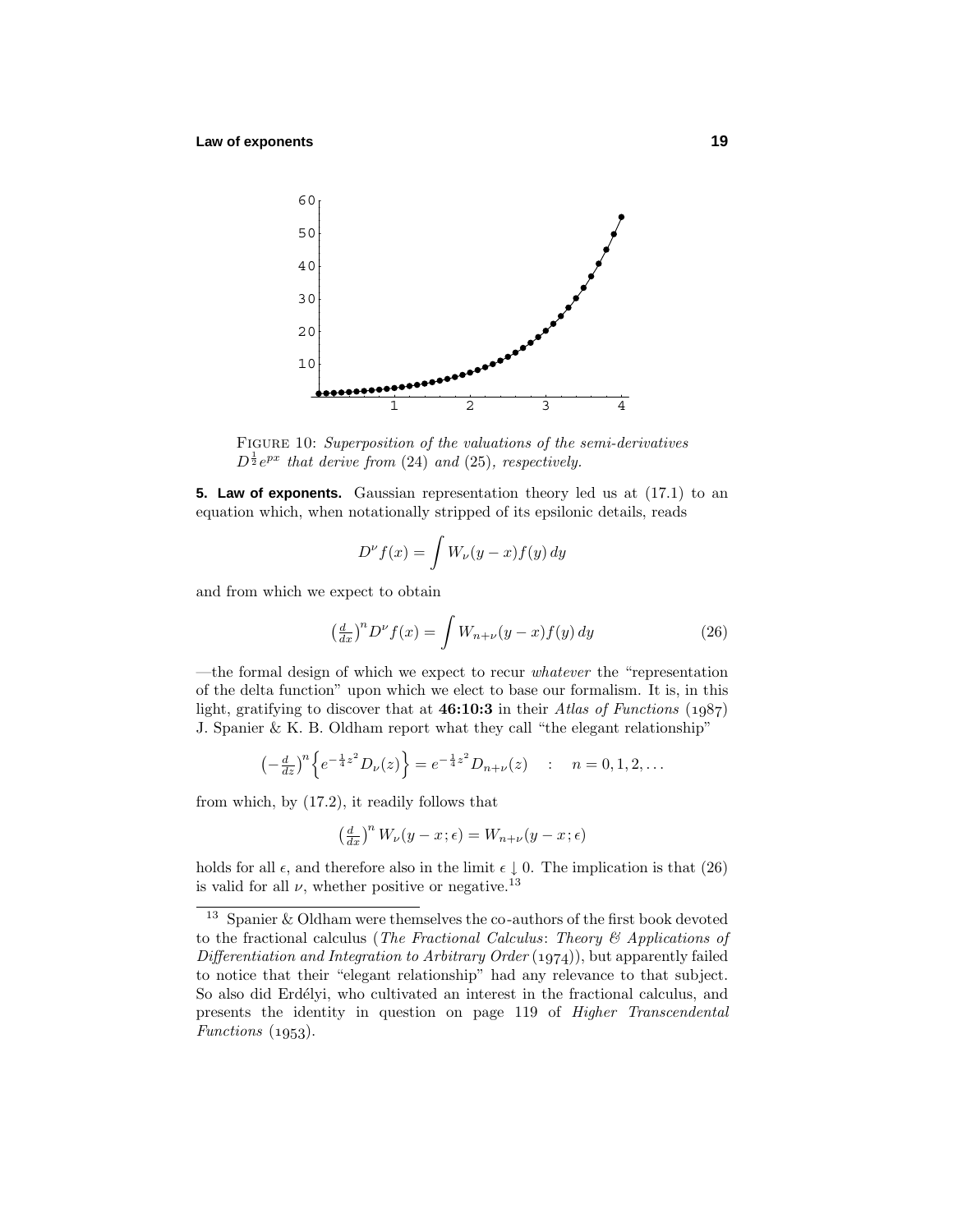

FIGURE 10: Superposition of the valuations of the semi-derivatives  $D^{\frac{1}{2}}e^{px}$  that derive from (24) and (25), respectively.

**5. Law of exponents.** Gaussian representation theory led us at (17.1) to an equation which, when notationally stripped of its epsilonic details, reads

$$
D^{\nu}f(x) = \int W_{\nu}(y - x)f(y) dy
$$

and from which we expect to obtain

$$
\left(\frac{d}{dx}\right)^n D^\nu f(x) = \int W_{n+\nu}(y-x)f(y) \, dy \tag{26}
$$

—the formal design of which we expect to recur whatever the "representation of the delta function" upon which we elect to base our formalism. It is, in this light, gratifying to discover that at  $46:10:3$  in their Atlas of Functions  $(1.087)$ J. Spanier & K. B. Oldham report what they call "the elegant relationship"

$$
\left(-\frac{d}{dz}\right)^n \left\{ e^{-\frac{1}{4}z^2} D_{\nu}(z) \right\} = e^{-\frac{1}{4}z^2} D_{n+\nu}(z) \quad : \quad n = 0, 1, 2, \dots
$$

from which, by (17.2), it readily follows that

$$
\left(\tfrac{d}{dx}\right)^n W_\nu(y-x\,;\epsilon) = W_{n+\nu}(y-x\,;\epsilon)
$$

holds for all  $\epsilon$ , and therefore also in the limit  $\epsilon \downarrow 0$ . The implication is that (26) is valid for all  $\nu$ , whether positive or negative.<sup>13</sup>

<sup>13</sup> Spanier & Oldham were themselves the co-authors of the first book devoted to the fractional calculus (The Fractional Calculus: Theory  $\mathcal B$  Applications of Differentiation and Integration to Arbitrary Order  $(1974)$ , but apparently failed to notice that their "elegant relationship" had any relevance to that subject. So also did Erdélyi, who cultivated an interest in the fractional calculus, and presents the identity in question on page 119 of Higher Transcendental Functions  $(1953)$ .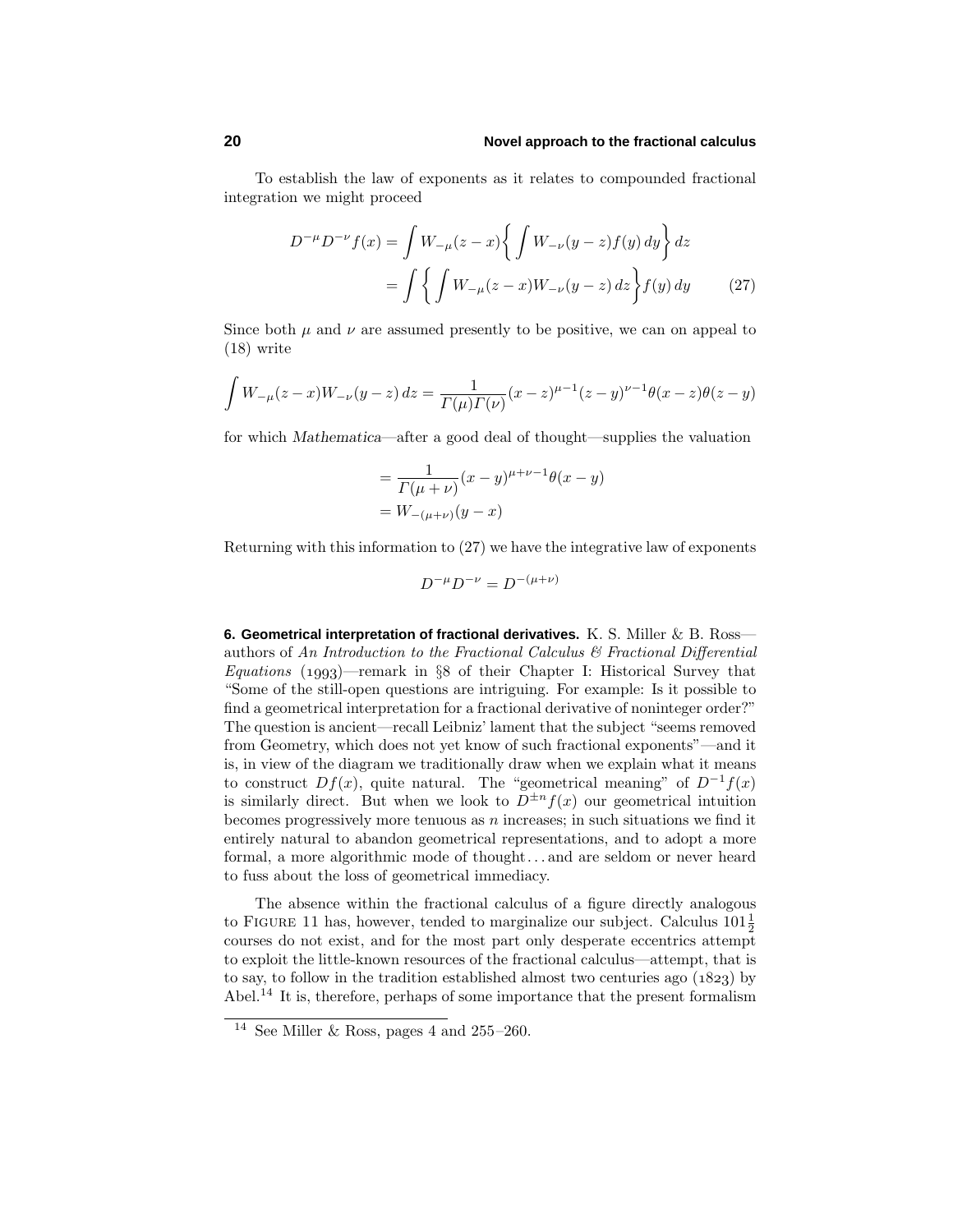#### **20 Novel approach to the fractional calculus**

To establish the law of exponents as it relates to compounded fractional integration we might proceed

$$
D^{-\mu}D^{-\nu}f(x) = \int W_{-\mu}(z-x)\left\{\int W_{-\nu}(y-z)f(y) \, dy\right\} dz
$$

$$
= \int \left\{\int W_{-\mu}(z-x)W_{-\nu}(y-z) \, dz\right\} f(y) \, dy \tag{27}
$$

Since both  $\mu$  and  $\nu$  are assumed presently to be positive, we can on appeal to (18) write

$$
\int W_{-\mu}(z-x)W_{-\nu}(y-z) dz = \frac{1}{\Gamma(\mu)\Gamma(\nu)}(x-z)^{\mu-1}(z-y)^{\nu-1}\theta(x-z)\theta(z-y)
$$

for which *Mathematica*—after a good deal of thought—supplies the valuation

$$
= \frac{1}{\Gamma(\mu + \nu)} (x - y)^{\mu + \nu - 1} \theta(x - y)
$$
  
=  $W_{-(\mu + \nu)} (y - x)$ 

Returning with this information to (27) we have the integrative law of exponents

$$
D^{-\mu}D^{-\nu} = D^{-(\mu+\nu)}
$$

**6. Geometrical interpretation of fractional derivatives.** K. S. Miller & B. Ross authors of An Introduction to the Fractional Calculus  $\mathcal C$  Fractional Differential Equations (1993)—remark in §8 of their Chapter I: Historical Survey that "Some of the still-open questions are intriguing. For example: Is it possible to find a geometrical interpretation for a fractional derivative of noninteger order?" The question is ancient—recall Leibniz' lament that the subject "seems removed from Geometry, which does not yet know of such fractional exponents"—and it is, in view of the diagram we traditionally draw when we explain what it means to construct  $Df(x)$ , quite natural. The "geometrical meaning" of  $D^{-1}f(x)$ is similarly direct. But when we look to  $D^{\pm n} f(x)$  our geometrical intuition becomes progressively more tenuous as *n* increases; in such situations we find it entirely natural to abandon geometrical representations, and to adopt a more formal, a more algorithmic mode of thought*...* and are seldom or never heard to fuss about the loss of geometrical immediacy.

The absence within the fractional calculus of a figure directly analogous to FIGURE 11 has, however, tended to marginalize our subject. Calculus  $101\frac{1}{2}$ courses do not exist, and for the most part only desperate eccentrics attempt to exploit the little-known resources of the fractional calculus—attempt, that is to say, to follow in the tradition established almost two centuries ago  $(1823)$  by Abel.<sup>14</sup> It is, therefore, perhaps of some importance that the present formalism

 $^{14}$  See Miller & Ross, pages 4 and 255–260.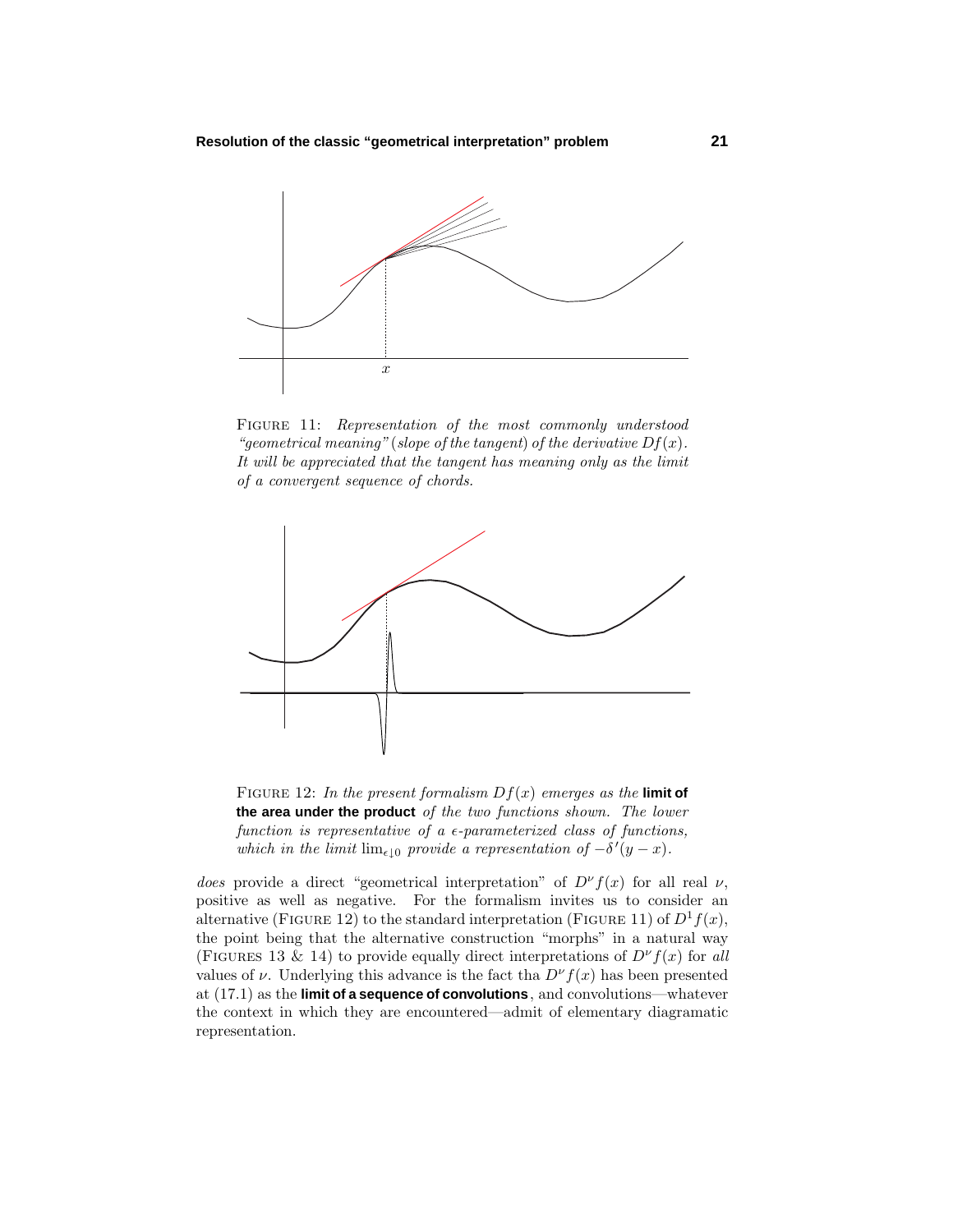

FIGURE 11: Representation of the most commonly understood "*geometrical meaning*" (*slope of the tangent*) *of the derivative*  $Df(x)$ *.* It will be appreciated that the tangent has meaning only as the limit of a convergent sequence of chords.



FIGURE 12: In the present formalism  $Df(x)$  emerges as the **limit of the area under the product** of the two functions shown. The lower function is representative of a  $\epsilon$ -parameterized class of functions, which in the limit  $\lim_{\epsilon \downarrow 0}$  provide a representation of  $-\delta'(y-x)$ .

*does* provide a direct "geometrical interpretation" of  $D^{\nu} f(x)$  for all real  $\nu$ , positive as well as negative. For the formalism invites us to consider an alternative (FIGURE 12) to the standard interpretation (FIGURE 11) of  $D^1 f(x)$ , the point being that the alternative construction "morphs" in a natural way (FIGURES 13 & 14) to provide equally direct interpretations of  $D^{\nu}f(x)$  for all values of *ν*. Underlying this advance is the fact tha  $D^{\nu} f(x)$  has been presented at (17.1) as the **limit of a sequence of convolutions**, and convolutions—whatever the context in which they are encountered—admit of elementary diagramatic representation.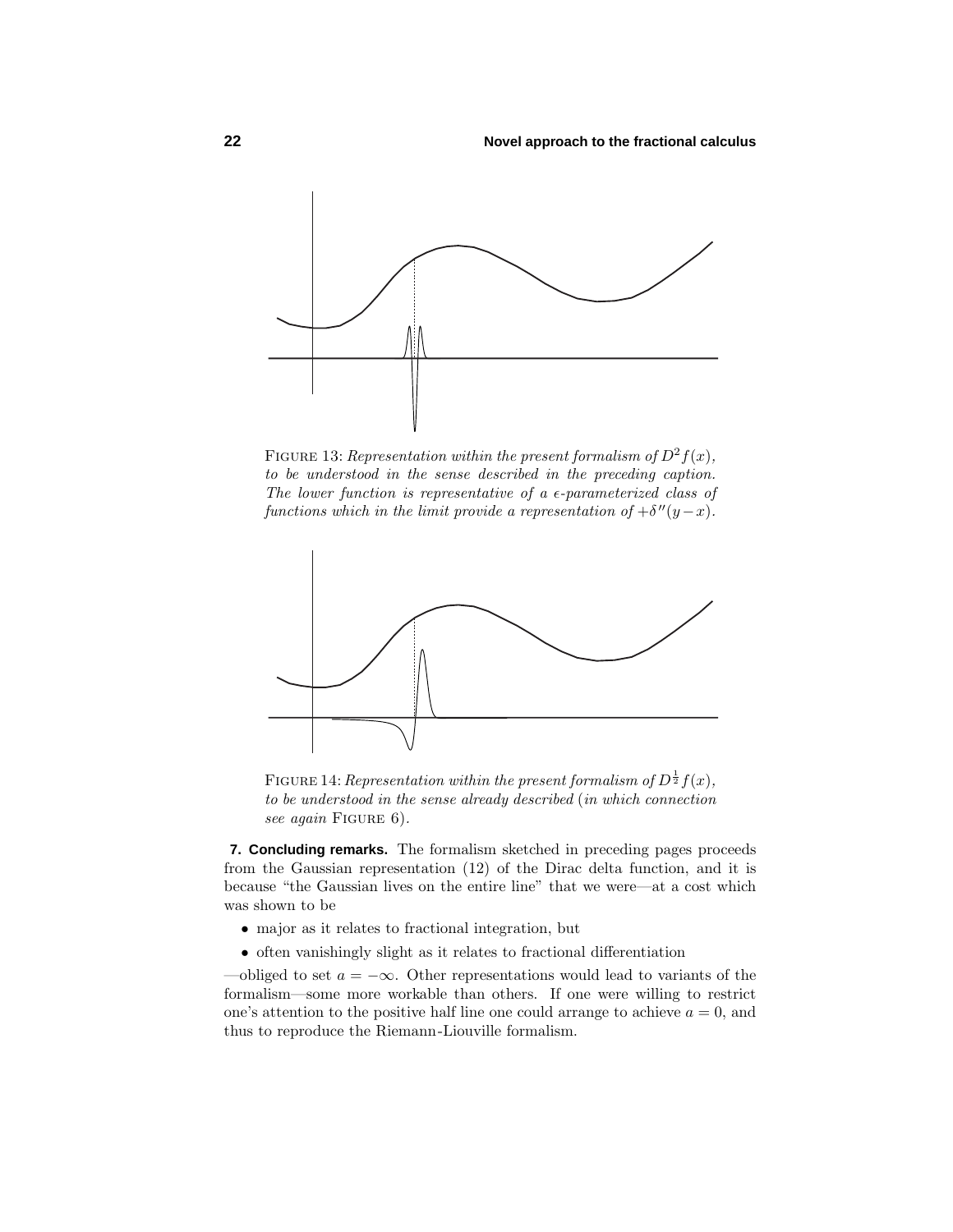

FIGURE 13: Representation within the present formalism of  $D^2 f(x)$ , to be understood in the sense described in the preceding caption. The lower function is representative of a  $\epsilon$ -parameterized class of functions which in the limit provide a representation of  $+\delta''(y-x)$ .



FIGURE 14: Representation within the present formalism of  $D^{\frac{1}{2}}f(x)$ , to be understood in the sense already described (in which connection see again FIGURE 6).

**7. Concluding remarks.** The formalism sketched in preceding pages proceeds from the Gaussian representation (12) of the Dirac delta function, and it is because "the Gaussian lives on the entire line" that we were—at a cost which was shown to be

- major as it relates to fractional integration, but
- often vanishingly slight as it relates to fractional differentiation

—obliged to set  $a = -\infty$ . Other representations would lead to variants of the formalism—some more workable than others. If one were willing to restrict one's attention to the positive half line one could arrange to achieve  $a = 0$ , and thus to reproduce the Riemann-Liouville formalism.